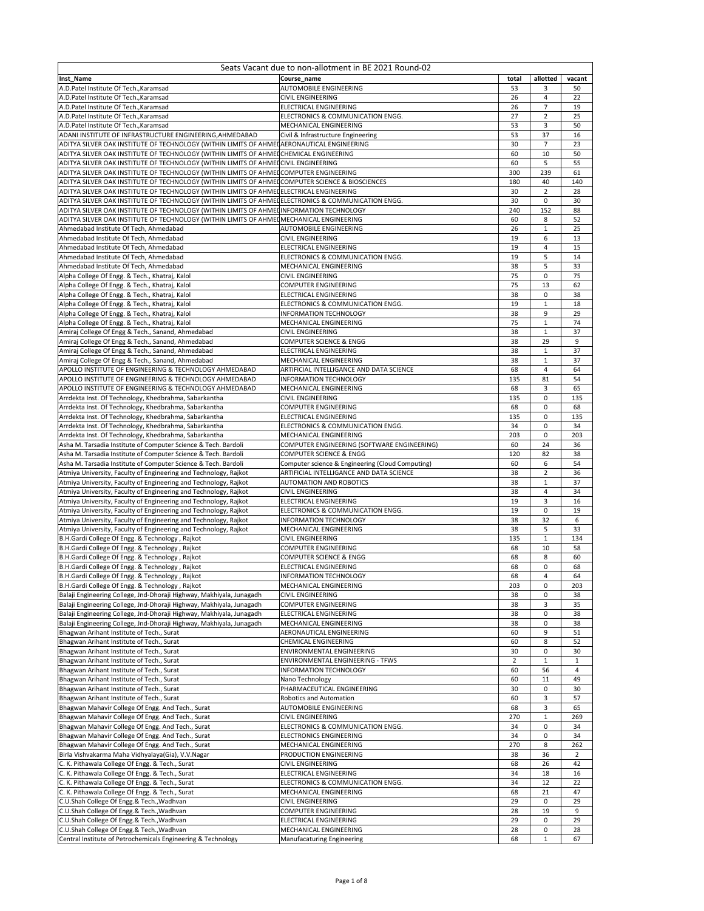| Seats Vacant due to non-allotment in BE 2021 Round-02                                                                                                                                         |                                                               |                |                |                |  |  |
|-----------------------------------------------------------------------------------------------------------------------------------------------------------------------------------------------|---------------------------------------------------------------|----------------|----------------|----------------|--|--|
| Inst_Name                                                                                                                                                                                     | Course name                                                   | total          | allotted       | vacant         |  |  |
| A.D.Patel Institute Of Tech., Karamsad                                                                                                                                                        | AUTOMOBILE ENGINEERING                                        | 53             | 3              | 50             |  |  |
| A.D.Patel Institute Of Tech., Karamsad                                                                                                                                                        | <b>CIVIL ENGINEERING</b>                                      | 26             | $\overline{4}$ | 22             |  |  |
| A.D.Patel Institute Of Tech., Karamsad                                                                                                                                                        | ELECTRICAL ENGINEERING                                        | 26             | 7              | 19             |  |  |
| A.D.Patel Institute Of Tech., Karamsad                                                                                                                                                        | ELECTRONICS & COMMUNICATION ENGG.                             | 27             | $\overline{2}$ | 25             |  |  |
| A.D.Patel Institute Of Tech., Karamsad                                                                                                                                                        | MECHANICAL ENGINEERING                                        | 53             | 3              | 50             |  |  |
| ADANI INSTITUTE OF INFRASTRUCTURE ENGINEERING, AHMEDABAD                                                                                                                                      | Civil & Infrastructure Engineering                            | 53             | 37             | 16             |  |  |
| ADITYA SILVER OAK INSTITUTE OF TECHNOLOGY (WITHIN LIMITS OF AHMEI AERONAUTICAL ENGINEERING                                                                                                    |                                                               | 30             | $\overline{7}$ | 23             |  |  |
| ADITYA SILVER OAK INSTITUTE OF TECHNOLOGY (WITHIN LIMITS OF AHMETCHEMICAL ENGINEERING                                                                                                         |                                                               | 60             | 10             | 50             |  |  |
| ADITYA SILVER OAK INSTITUTE OF TECHNOLOGY (WITHIN LIMITS OF AHMELCIVIL ENGINEERING                                                                                                            |                                                               | 60             | 5              | 55             |  |  |
| ADITYA SILVER OAK INSTITUTE OF TECHNOLOGY (WITHIN LIMITS OF AHMEDCOMPUTER ENGINEERING                                                                                                         |                                                               | 300            | 239            | 61             |  |  |
| ADITYA SILVER OAK INSTITUTE OF TECHNOLOGY (WITHIN LIMITS OF AHMEDCOMPUTER SCIENCE & BIOSCIENCES                                                                                               |                                                               | 180            | 40             | 140            |  |  |
| ADITYA SILVER OAK INSTITUTE OF TECHNOLOGY (WITHIN LIMITS OF AHMEDELECTRICAL ENGINEERING                                                                                                       |                                                               | 30<br>30       | $\overline{2}$ | 28             |  |  |
| ADITYA SILVER OAK INSTITUTE OF TECHNOLOGY (WITHIN LIMITS OF AHMELELECTRONICS & COMMUNICATION ENGG.<br>ADITYA SILVER OAK INSTITUTE OF TECHNOLOGY (WITHIN LIMITS OF AHMELINFORMATION TECHNOLOGY |                                                               | 240            | 0<br>152       | 30<br>88       |  |  |
| ADITYA SILVER OAK INSTITUTE OF TECHNOLOGY (WITHIN LIMITS OF AHMEI MECHANICAL ENGINEERING                                                                                                      |                                                               | 60             | 8              |                |  |  |
| Ahmedabad Institute Of Tech, Ahmedabad                                                                                                                                                        | AUTOMOBILE ENGINEERING                                        | 26             | 1              | 52<br>25       |  |  |
| Ahmedabad Institute Of Tech, Ahmedabad                                                                                                                                                        | CIVIL ENGINEERING                                             | 19             | 6              | 13             |  |  |
| Ahmedabad Institute Of Tech, Ahmedabad                                                                                                                                                        | ELECTRICAL ENGINEERING                                        | 19             | 4              | 15             |  |  |
| Ahmedabad Institute Of Tech, Ahmedabad                                                                                                                                                        | ELECTRONICS & COMMUNICATION ENGG.                             | 19             | 5              | 14             |  |  |
| Ahmedabad Institute Of Tech, Ahmedabad                                                                                                                                                        | MECHANICAL ENGINEERING                                        | 38             | 5              | 33             |  |  |
| Alpha College Of Engg. & Tech., Khatraj, Kalol                                                                                                                                                | CIVIL ENGINEERING                                             | 75             | 0              | 75             |  |  |
| Alpha College Of Engg. & Tech., Khatraj, Kalol                                                                                                                                                | COMPUTER ENGINEERING                                          | 75             | 13             | 62             |  |  |
| Alpha College Of Engg. & Tech., Khatraj, Kalol                                                                                                                                                | ELECTRICAL ENGINEERING                                        | 38             | 0              | 38             |  |  |
| Alpha College Of Engg. & Tech., Khatraj, Kalol                                                                                                                                                | ELECTRONICS & COMMUNICATION ENGG.                             | 19             | $\mathbf{1}$   | 18             |  |  |
| Alpha College Of Engg. & Tech., Khatraj, Kalol                                                                                                                                                | <b>INFORMATION TECHNOLOGY</b>                                 | 38             | 9              | 29             |  |  |
| Alpha College Of Engg. & Tech., Khatraj, Kalol                                                                                                                                                | MECHANICAL ENGINEERING                                        | 75             | $\mathbf{1}$   | 74             |  |  |
| Amiraj College Of Engg & Tech., Sanand, Ahmedabad                                                                                                                                             | CIVIL ENGINEERING                                             | 38             | $\,1\,$        | 37             |  |  |
| Amiraj College Of Engg & Tech., Sanand, Ahmedabad                                                                                                                                             | COMPUTER SCIENCE & ENGG                                       | 38             | 29             | 9              |  |  |
| Amiraj College Of Engg & Tech., Sanand, Ahmedabad                                                                                                                                             | ELECTRICAL ENGINEERING                                        | 38             | $\mathbf 1$    | 37             |  |  |
| Amiraj College Of Engg & Tech., Sanand, Ahmedabad                                                                                                                                             | MECHANICAL ENGINEERING                                        | 38             | $\mathbf{1}$   | 37             |  |  |
| APOLLO INSTITUTE OF ENGINEERING & TECHNOLOGY AHMEDABAD                                                                                                                                        | ARTIFICIAL INTELLIGANCE AND DATA SCIENCE                      | 68             | $\overline{4}$ | 64             |  |  |
| APOLLO INSTITUTE OF ENGINEERING & TECHNOLOGY AHMEDABAD                                                                                                                                        | INFORMATION TECHNOLOGY                                        | 135            | 81             | 54             |  |  |
| APOLLO INSTITUTE OF ENGINEERING & TECHNOLOGY AHMEDABAD                                                                                                                                        | MECHANICAL ENGINEERING                                        | 68             | 3              | 65             |  |  |
| Arrdekta Inst. Of Technology, Khedbrahma, Sabarkantha                                                                                                                                         | CIVIL ENGINEERING                                             | 135            | 0              | 135            |  |  |
| Arrdekta Inst. Of Technology, Khedbrahma, Sabarkantha                                                                                                                                         | COMPUTER ENGINEERING                                          | 68             | 0              | 68             |  |  |
| Arrdekta Inst. Of Technology, Khedbrahma, Sabarkantha                                                                                                                                         | ELECTRICAL ENGINEERING                                        | 135            | 0              | 135            |  |  |
| Arrdekta Inst. Of Technology, Khedbrahma, Sabarkantha                                                                                                                                         | ELECTRONICS & COMMUNICATION ENGG.                             | 34             | 0              | 34             |  |  |
| Arrdekta Inst. Of Technology, Khedbrahma, Sabarkantha                                                                                                                                         | MECHANICAL ENGINEERING                                        | 203            | 0              | 203            |  |  |
| Asha M. Tarsadia Institute of Computer Science & Tech. Bardoli                                                                                                                                | COMPUTER ENGINEERING (SOFTWARE ENGINEERING)                   | 60             | 24             | 36             |  |  |
| Asha M. Tarsadia Institute of Computer Science & Tech. Bardoli                                                                                                                                | COMPUTER SCIENCE & ENGG                                       | 120            | 82             | 38             |  |  |
| Asha M. Tarsadia Institute of Computer Science & Tech. Bardoli                                                                                                                                | Computer science & Engineering (Cloud Computing)              | 60             | 6              | 54             |  |  |
| Atmiya University, Faculty of Engineering and Technology, Rajkot                                                                                                                              | ARTIFICIAL INTELLIGANCE AND DATA SCIENCE                      | 38             | 2              | 36             |  |  |
| Atmiya University, Faculty of Engineering and Technology, Rajkot                                                                                                                              | AUTOMATION AND ROBOTICS                                       | 38             | $\mathbf 1$    | 37             |  |  |
| Atmiya University, Faculty of Engineering and Technology, Rajkot                                                                                                                              | CIVIL ENGINEERING                                             | 38             | 4              | 34             |  |  |
| Atmiya University, Faculty of Engineering and Technology, Rajkot                                                                                                                              | ELECTRICAL ENGINEERING                                        | 19             | 3              | 16             |  |  |
| Atmiya University, Faculty of Engineering and Technology, Rajkot                                                                                                                              | ELECTRONICS & COMMUNICATION ENGG.                             | 19             | 0              | 19             |  |  |
| Atmiya University, Faculty of Engineering and Technology, Rajkot                                                                                                                              | <b>INFORMATION TECHNOLOGY</b>                                 | 38             | 32             | 6              |  |  |
| Atmiya University, Faculty of Engineering and Technology, Rajkot                                                                                                                              | MECHANICAL ENGINEERING                                        | 38             | 5              | 33             |  |  |
| B.H.Gardi College Of Engg. & Technology, Rajkot                                                                                                                                               | CIVIL ENGINEERING                                             | 135            | 1              | 134            |  |  |
| B.H.Gardi College Of Engg. & Technology, Rajkot                                                                                                                                               | COMPUTER ENGINEERING                                          | 68             | 10             | 58             |  |  |
| B.H.Gardi College Of Engg. & Technology, Rajkot                                                                                                                                               | COMPUTER SCIENCE & ENGG                                       | 68             | 8              | 60             |  |  |
| B.H.Gardi College Of Engg. & Technology, Rajkot                                                                                                                                               | ELECTRICAL ENGINEERING                                        | 68             | 0              | 68             |  |  |
| B.H.Gardi College Of Engg. & Technology, Rajkot                                                                                                                                               | <b>INFORMATION TECHNOLOGY</b>                                 | 68             | 4              | 64             |  |  |
| B.H.Gardi College Of Engg. & Technology, Rajkot                                                                                                                                               | MECHANICAL ENGINEERING                                        | 203            | 0              | 203            |  |  |
| Balaji Engineering College, Jnd-Dhoraji Highway, Makhiyala, Junagadh                                                                                                                          | CIVIL ENGINEERING                                             | 38             | 0              | 38             |  |  |
| Balaji Engineering College, Jnd-Dhoraji Highway, Makhiyala, Junagadh                                                                                                                          | COMPUTER ENGINEERING                                          | 38             | 3              | 35             |  |  |
| Balaji Engineering College, Jnd-Dhoraji Highway, Makhiyala, Junagadh                                                                                                                          | ELECTRICAL ENGINEERING                                        | 38             | 0              | 38             |  |  |
| Balaji Engineering College, Jnd-Dhoraji Highway, Makhiyala, Junagadh                                                                                                                          | MECHANICAL ENGINEERING                                        | 38<br>60       | 0<br>9         | 38             |  |  |
| Bhagwan Arihant Institute of Tech., Surat                                                                                                                                                     | AERONAUTICAL ENGINEERING<br>CHEMICAL ENGINEERING              | 60             | 8              | 51             |  |  |
| Bhagwan Arihant Institute of Tech., Surat<br>Bhagwan Arihant Institute of Tech., Surat                                                                                                        |                                                               | 30             | 0              | 52<br>30       |  |  |
| Bhagwan Arihant Institute of Tech., Surat                                                                                                                                                     | ENVIRONMENTAL ENGINEERING<br>ENVIRONMENTAL ENGINEERING - TFWS | $\overline{2}$ | $\mathbf 1$    | $\mathbf{1}$   |  |  |
| Bhagwan Arihant Institute of Tech., Surat                                                                                                                                                     | INFORMATION TECHNOLOGY                                        | 60             | 56             | 4              |  |  |
| Bhagwan Arihant Institute of Tech., Surat                                                                                                                                                     | Nano Technology                                               | 60             | 11             | 49             |  |  |
| Bhagwan Arihant Institute of Tech., Surat                                                                                                                                                     | PHARMACEUTICAL ENGINEERING                                    | 30             | 0              | 30             |  |  |
| Bhagwan Arihant Institute of Tech., Surat                                                                                                                                                     | Robotics and Automation                                       | 60             | 3              | 57             |  |  |
| Bhagwan Mahavir College Of Engg. And Tech., Surat                                                                                                                                             | AUTOMOBILE ENGINEERING                                        | 68             | 3              | 65             |  |  |
| Bhagwan Mahavir College Of Engg. And Tech., Surat                                                                                                                                             | CIVIL ENGINEERING                                             | 270            | $\mathbf 1$    | 269            |  |  |
| Bhagwan Mahavir College Of Engg. And Tech., Surat                                                                                                                                             | ELECTRONICS & COMMUNICATION ENGG.                             | 34             | 0              | 34             |  |  |
| Bhagwan Mahavir College Of Engg. And Tech., Surat                                                                                                                                             | ELECTRONICS ENGINEERING                                       | 34             | 0              | 34             |  |  |
| Bhagwan Mahavir College Of Engg. And Tech., Surat                                                                                                                                             | MECHANICAL ENGINEERING                                        | 270            | 8              | 262            |  |  |
| Birla Vishvakarma Maha Vidhyalaya(Gia), V.V.Nagar                                                                                                                                             | PRODUCTION ENGINEERING                                        | 38             | 36             | $\overline{2}$ |  |  |
| C. K. Pithawala College Of Engg. & Tech., Surat                                                                                                                                               | CIVIL ENGINEERING                                             | 68             | 26             | 42             |  |  |
| C. K. Pithawala College Of Engg. & Tech., Surat                                                                                                                                               | ELECTRICAL ENGINEERING                                        | 34             | 18             | 16             |  |  |
| C. K. Pithawala College Of Engg. & Tech., Surat                                                                                                                                               | ELECTRONICS & COMMUNICATION ENGG.                             | 34             | 12             | 22             |  |  |
| C. K. Pithawala College Of Engg. & Tech., Surat                                                                                                                                               | MECHANICAL ENGINEERING                                        | 68             | 21             | 47             |  |  |
| C.U.Shah College Of Engg.& Tech., Wadhvan                                                                                                                                                     | CIVIL ENGINEERING                                             | 29             | 0              | 29             |  |  |
| C.U.Shah College Of Engg.& Tech., Wadhvan                                                                                                                                                     | COMPUTER ENGINEERING                                          | 28             | 19             | 9              |  |  |
| C.U.Shah College Of Engg.& Tech., Wadhvan                                                                                                                                                     | ELECTRICAL ENGINEERING                                        | 29             | 0              | 29             |  |  |
| C.U.Shah College Of Engg.& Tech., Wadhvan                                                                                                                                                     | MECHANICAL ENGINEERING                                        | 28             | $\pmb{0}$      | 28             |  |  |
| Central Institute of Petrochemicals Engineering & Technology                                                                                                                                  | Manufacaturing Engineering                                    | 68             | $\mathbf 1$    | 67             |  |  |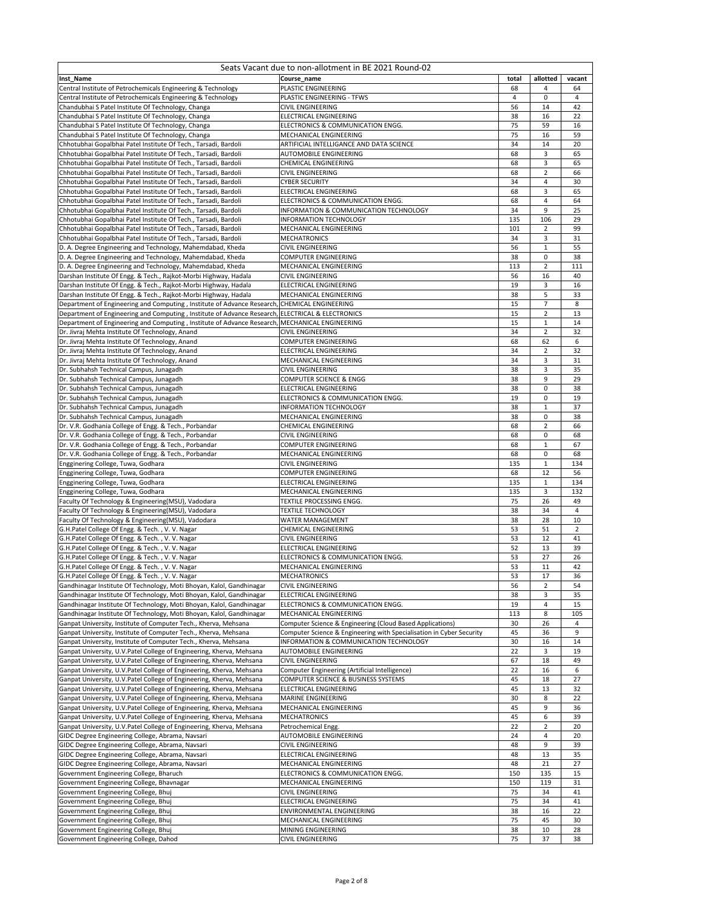| Seats Vacant due to non-allotment in BE 2021 Round-02                                                                                                            |                                                                                                                |                |                     |                |  |  |
|------------------------------------------------------------------------------------------------------------------------------------------------------------------|----------------------------------------------------------------------------------------------------------------|----------------|---------------------|----------------|--|--|
| Inst_Name                                                                                                                                                        | Course_name                                                                                                    | total          | allotted            | vacant         |  |  |
| Central Institute of Petrochemicals Engineering & Technology                                                                                                     | PLASTIC ENGINEERING                                                                                            | 68             | 4                   | 64             |  |  |
| Central Institute of Petrochemicals Engineering & Technology                                                                                                     | PLASTIC ENGINEERING - TFWS                                                                                     | $\overline{4}$ | 0                   | 4              |  |  |
| Chandubhai S Patel Institute Of Technology, Changa                                                                                                               | <b>CIVIL ENGINEERING</b>                                                                                       | 56             | 14                  | 42             |  |  |
| Chandubhai S Patel Institute Of Technology, Changa                                                                                                               | ELECTRICAL ENGINEERING                                                                                         | 38             | 16                  | 22             |  |  |
| Chandubhai S Patel Institute Of Technology, Changa                                                                                                               | ELECTRONICS & COMMUNICATION ENGG.<br>MECHANICAL ENGINEERING                                                    | 75<br>75       | 59<br>16            | 16<br>59       |  |  |
| Chandubhai S Patel Institute Of Technology, Changa<br>Chhotubhai Gopalbhai Patel Institute Of Tech., Tarsadi, Bardoli                                            | ARTIFICIAL INTELLIGANCE AND DATA SCIENCE                                                                       | 34             | 14                  | 20             |  |  |
| Chhotubhai Gopalbhai Patel Institute Of Tech., Tarsadi, Bardoli                                                                                                  | AUTOMOBILE ENGINEERING                                                                                         | 68             | 3                   | 65             |  |  |
| Chhotubhai Gopalbhai Patel Institute Of Tech., Tarsadi, Bardoli                                                                                                  | <b>CHEMICAL ENGINEERING</b>                                                                                    | 68             | 3                   | 65             |  |  |
| Chhotubhai Gopalbhai Patel Institute Of Tech., Tarsadi, Bardoli                                                                                                  | <b>CIVIL ENGINEERING</b>                                                                                       | 68             | $\overline{2}$      | 66             |  |  |
| Chhotubhai Gopalbhai Patel Institute Of Tech., Tarsadi, Bardoli                                                                                                  | <b>CYBER SECURITY</b>                                                                                          | 34             | 4                   | 30             |  |  |
| Chhotubhai Gopalbhai Patel Institute Of Tech., Tarsadi, Bardoli                                                                                                  | ELECTRICAL ENGINEERING                                                                                         | 68             | 3                   | 65             |  |  |
| Chhotubhai Gopalbhai Patel Institute Of Tech., Tarsadi, Bardoli                                                                                                  | ELECTRONICS & COMMUNICATION ENGG.                                                                              | 68             | 4                   | 64             |  |  |
| Chhotubhai Gopalbhai Patel Institute Of Tech., Tarsadi, Bardoli                                                                                                  | INFORMATION & COMMUNICATION TECHNOLOGY                                                                         | 34             | 9                   | 25             |  |  |
| Chhotubhai Gopalbhai Patel Institute Of Tech., Tarsadi, Bardoli                                                                                                  | INFORMATION TECHNOLOGY                                                                                         | 135            | 106                 | 29             |  |  |
| Chhotubhai Gopalbhai Patel Institute Of Tech., Tarsadi, Bardoli                                                                                                  | MECHANICAL ENGINEERING                                                                                         | 101            | $\overline{2}$      | 99             |  |  |
| Chhotubhai Gopalbhai Patel Institute Of Tech., Tarsadi, Bardoli                                                                                                  | <b>MECHATRONICS</b>                                                                                            | 34             | 3                   | 31             |  |  |
| D. A. Degree Engineering and Technology, Mahemdabad, Kheda                                                                                                       | CIVIL ENGINEERING                                                                                              | 56             | $\,1\,$             | 55             |  |  |
| D. A. Degree Engineering and Technology, Mahemdabad, Kheda                                                                                                       | COMPUTER ENGINEERING                                                                                           | 38             | 0                   | 38             |  |  |
| D. A. Degree Engineering and Technology, Mahemdabad, Kheda                                                                                                       | MECHANICAL ENGINEERING                                                                                         | 113            | $\overline{2}$      | 111            |  |  |
| Darshan Institute Of Engg. & Tech., Rajkot-Morbi Highway, Hadala                                                                                                 | CIVIL ENGINEERING                                                                                              | 56             | 16                  | 40             |  |  |
| Darshan Institute Of Engg. & Tech., Rajkot-Morbi Highway, Hadala                                                                                                 | <b>ELECTRICAL ENGINEERING</b>                                                                                  | 19             | 3                   | 16             |  |  |
| Darshan Institute Of Engg. & Tech., Rajkot-Morbi Highway, Hadala<br>Department of Engineering and Computing, Institute of Advance Research, CHEMICAL ENGINEERING | MECHANICAL ENGINEERING                                                                                         | 38<br>15       | 5<br>$\overline{7}$ | 33<br>8        |  |  |
| Department of Engineering and Computing, Institute of Advance Research, ELECTRICAL & ELECTRONICS                                                                 |                                                                                                                | 15             | $\overline{2}$      | 13             |  |  |
| Department of Engineering and Computing, Institute of Advance Research, MECHANICAL ENGINEERING                                                                   |                                                                                                                | 15             | $\mathbf 1$         | 14             |  |  |
| Dr. Jivraj Mehta Institute Of Technology, Anand                                                                                                                  | <b>CIVIL ENGINEERING</b>                                                                                       | 34             | $\overline{2}$      | 32             |  |  |
| Dr. Jivraj Mehta Institute Of Technology, Anand                                                                                                                  | COMPUTER ENGINEERING                                                                                           | 68             | 62                  | 6              |  |  |
| Dr. Jivraj Mehta Institute Of Technology, Anand                                                                                                                  | <b>ELECTRICAL ENGINEERING</b>                                                                                  | 34             | $\overline{2}$      | 32             |  |  |
| Dr. Jivraj Mehta Institute Of Technology, Anand                                                                                                                  | MECHANICAL ENGINEERING                                                                                         | 34             | 3                   | 31             |  |  |
| Dr. Subhahsh Technical Campus, Junagadh                                                                                                                          | <b>CIVIL ENGINEERING</b>                                                                                       | 38             | $\overline{3}$      | 35             |  |  |
| Dr. Subhahsh Technical Campus, Junagadh                                                                                                                          | COMPUTER SCIENCE & ENGG                                                                                        | 38             | 9                   | 29             |  |  |
| Dr. Subhahsh Technical Campus, Junagadh                                                                                                                          | ELECTRICAL ENGINEERING                                                                                         | 38             | 0                   | 38             |  |  |
| Dr. Subhahsh Technical Campus, Junagadh                                                                                                                          | ELECTRONICS & COMMUNICATION ENGG.                                                                              | 19             | $\pmb{0}$           | 19             |  |  |
| Dr. Subhahsh Technical Campus, Junagadh                                                                                                                          | INFORMATION TECHNOLOGY                                                                                         | 38             | $\,1\,$             | 37             |  |  |
| Dr. Subhahsh Technical Campus, Junagadh                                                                                                                          | MECHANICAL ENGINEERING                                                                                         | 38             | 0                   | 38             |  |  |
| Dr. V.R. Godhania College of Engg. & Tech., Porbandar                                                                                                            | CHEMICAL ENGINEERING                                                                                           | 68             | $\overline{2}$      | 66             |  |  |
| Dr. V.R. Godhania College of Engg. & Tech., Porbandar                                                                                                            | <b>CIVIL ENGINEERING</b>                                                                                       | 68             | $\mathbf 0$         | 68             |  |  |
| Dr. V.R. Godhania College of Engg. & Tech., Porbandar                                                                                                            | <b>COMPUTER ENGINEERING</b>                                                                                    | 68             | $\mathbf 1$         | 67             |  |  |
| Dr. V.R. Godhania College of Engg. & Tech., Porbandar                                                                                                            | MECHANICAL ENGINEERING                                                                                         | 68<br>135      | 0<br>$1\,$          | 68<br>134      |  |  |
| Engginering College, Tuwa, Godhara<br>Engginering College, Tuwa, Godhara                                                                                         | CIVIL ENGINEERING<br>COMPUTER ENGINEERING                                                                      | 68             | 12                  | 56             |  |  |
| Engginering College, Tuwa, Godhara                                                                                                                               | ELECTRICAL ENGINEERING                                                                                         | 135            | $\mathbf{1}$        | 134            |  |  |
| Engginering College, Tuwa, Godhara                                                                                                                               | MECHANICAL ENGINEERING                                                                                         | 135            | 3                   | 132            |  |  |
| Faculty Of Technology & Engineering(MSU), Vadodara                                                                                                               | TEXTILE PROCESSING ENGG.                                                                                       | 75             | 26                  | 49             |  |  |
| Faculty Of Technology & Engineering(MSU), Vadodara                                                                                                               | <b>TEXTILE TECHNOLOGY</b>                                                                                      | 38             | 34                  | 4              |  |  |
| Faculty Of Technology & Engineering(MSU), Vadodara                                                                                                               | WATER MANAGEMENT                                                                                               | 38             | 28                  | 10             |  |  |
| G.H.Patel College Of Engg. & Tech., V. V. Nagar                                                                                                                  | <b>CHEMICAL ENGINEERING</b>                                                                                    | 53             | 51                  | $\overline{2}$ |  |  |
| G.H.Patel College Of Engg. & Tech., V.V. Nagar                                                                                                                   | <b>CIVIL ENGINEERING</b>                                                                                       | 53             | 12                  | 41             |  |  |
| G.H.Patel College Of Engg. & Tech., V.V. Nagar                                                                                                                   | ELECTRICAL ENGINEERING                                                                                         | 52             | 13                  | 39             |  |  |
| G.H.Patel College Of Engg. & Tech., V. V. Nagar                                                                                                                  | ELECTRONICS & COMMUNICATION ENGG.                                                                              | 53             | 27                  | 26             |  |  |
| G.H.Patel College Of Engg. & Tech., V. V. Nagar                                                                                                                  | MECHANICAL ENGINEERING                                                                                         | 53             | 11                  | 42             |  |  |
| G.H.Patel College Of Engg. & Tech., V.V. Nagar                                                                                                                   | <b>MECHATRONICS</b>                                                                                            | 53             | 17                  | 36             |  |  |
| Gandhinagar Institute Of Technology, Moti Bhoyan, Kalol, Gandhinagar                                                                                             | <b>CIVIL ENGINEERING</b>                                                                                       | 56             | $\overline{2}$      | 54             |  |  |
| Gandhinagar Institute Of Technology, Moti Bhoyan, Kalol, Gandhinagar                                                                                             | <b>ELECTRICAL ENGINEERING</b>                                                                                  | 38             | 3                   | 35             |  |  |
| Gandhinagar Institute Of Technology, Moti Bhoyan, Kalol, Gandhinagar                                                                                             | ELECTRONICS & COMMUNICATION ENGG.                                                                              | 19             | $\overline{a}$      | 15             |  |  |
| Gandhinagar Institute Of Technology, Moti Bhoyan, Kalol, Gandhinagar                                                                                             | MECHANICAL ENGINEERING                                                                                         | 113            | 8                   | 105            |  |  |
| Ganpat University, Institute of Computer Tech., Kherva, Mehsana                                                                                                  | Computer Science & Engineering (Cloud Based Applications)                                                      | 30<br>45       | 26<br>36            | 4<br>9         |  |  |
| Ganpat University, Institute of Computer Tech., Kherva, Mehsana<br>Ganpat University, Institute of Computer Tech., Kherva, Mehsana                               | Computer Science & Engineering with Specialisation in Cyber Security<br>INFORMATION & COMMUNICATION TECHNOLOGY | 30             | 16                  | 14             |  |  |
| Ganpat University, U.V.Patel College of Engineering, Kherva, Mehsana                                                                                             | AUTOMOBILE ENGINEERING                                                                                         | 22             | 3                   | 19             |  |  |
| Ganpat University, U.V.Patel College of Engineering, Kherva, Mehsana                                                                                             | <b>CIVIL ENGINEERING</b>                                                                                       | 67             | 18                  | 49             |  |  |
| Ganpat University, U.V.Patel College of Engineering, Kherva, Mehsana                                                                                             | Computer Engineering (Artificial Intelligence)                                                                 | 22             | 16                  | 6              |  |  |
| Ganpat University, U.V.Patel College of Engineering, Kherva, Mehsana                                                                                             | COMPUTER SCIENCE & BUSINESS SYSTEMS                                                                            | 45             | 18                  | 27             |  |  |
| Ganpat University, U.V.Patel College of Engineering, Kherva, Mehsana                                                                                             | ELECTRICAL ENGINEERING                                                                                         | 45             | 13                  | 32             |  |  |
| Ganpat University, U.V.Patel College of Engineering, Kherva, Mehsana                                                                                             | MARINE ENGINEERING                                                                                             | 30             | 8                   | 22             |  |  |
| Ganpat University, U.V.Patel College of Engineering, Kherva, Mehsana                                                                                             | MECHANICAL ENGINEERING                                                                                         | 45             | 9                   | 36             |  |  |
| Ganpat University, U.V.Patel College of Engineering, Kherva, Mehsana                                                                                             | MECHATRONICS                                                                                                   | 45             | 6                   | 39             |  |  |
| Ganpat University, U.V.Patel College of Engineering, Kherva, Mehsana                                                                                             | Petrochemical Engg.                                                                                            | 22             | 2                   | 20             |  |  |
| GIDC Degree Engineering College, Abrama, Navsari                                                                                                                 | AUTOMOBILE ENGINEERING                                                                                         | 24             | 4                   | 20             |  |  |
| GIDC Degree Engineering College, Abrama, Navsari                                                                                                                 | <b>CIVIL ENGINEERING</b>                                                                                       | 48             | 9                   | 39             |  |  |
| GIDC Degree Engineering College, Abrama, Navsari                                                                                                                 | ELECTRICAL ENGINEERING                                                                                         | 48             | 13                  | 35             |  |  |
| GIDC Degree Engineering College, Abrama, Navsari                                                                                                                 | MECHANICAL ENGINEERING                                                                                         | 48             | 21                  | 27             |  |  |
| Government Engineering College, Bharuch<br>Government Engineering College, Bhavnagar                                                                             | ELECTRONICS & COMMUNICATION ENGG.<br>MECHANICAL ENGINEERING                                                    | 150<br>150     | 135<br>119          | 15<br>31       |  |  |
| Government Engineering College, Bhu                                                                                                                              | CIVIL ENGINEERING                                                                                              | 75             | 34                  | 41             |  |  |
| Government Engineering College, Bhuj                                                                                                                             | ELECTRICAL ENGINEERING                                                                                         | 75             | 34                  | 41             |  |  |
| Government Engineering College, Bhuj                                                                                                                             | ENVIRONMENTAL ENGINEERING                                                                                      | 38             | 16                  | 22             |  |  |
| Government Engineering College, Bhuj                                                                                                                             | MECHANICAL ENGINEERING                                                                                         | 75             | 45                  | 30             |  |  |
| Government Engineering College, Bhuj                                                                                                                             | MINING ENGINEERING                                                                                             | 38             | 10                  | 28             |  |  |
| Government Engineering College, Dahod                                                                                                                            | <b>CIVIL ENGINEERING</b>                                                                                       | 75             | 37                  | 38             |  |  |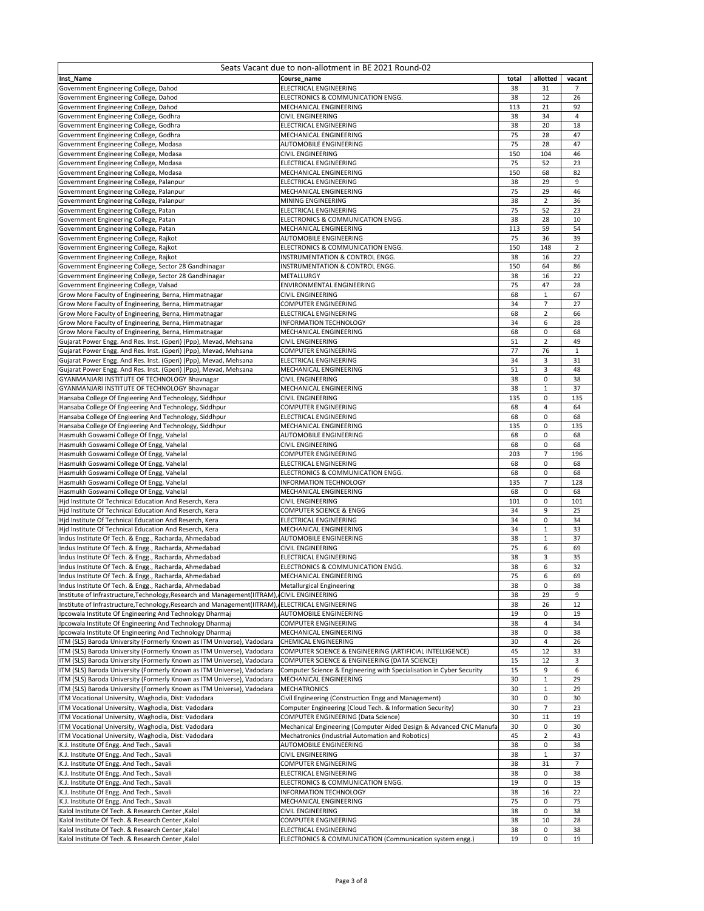| Seats Vacant due to non-allotment in BE 2021 Round-02                                                                                            |                                                                                                |          |                  |                |  |  |
|--------------------------------------------------------------------------------------------------------------------------------------------------|------------------------------------------------------------------------------------------------|----------|------------------|----------------|--|--|
| Inst_Name                                                                                                                                        | Course name                                                                                    | total    | allotted         | vacant         |  |  |
| Government Engineering College, Dahod                                                                                                            | ELECTRICAL ENGINEERING                                                                         | 38       | 31               | 7              |  |  |
| Government Engineering College, Dahod                                                                                                            | ELECTRONICS & COMMUNICATION ENGG.                                                              | 38       | 12               | 26             |  |  |
| Government Engineering College, Dahod                                                                                                            | MECHANICAL ENGINEERING                                                                         | 113      | 21               | 92             |  |  |
| Government Engineering College, Godhra                                                                                                           | CIVIL ENGINEERING                                                                              | 38       | 34               | $\overline{4}$ |  |  |
| Government Engineering College, Godhra                                                                                                           | ELECTRICAL ENGINEERING                                                                         | 38       | 20               | 18             |  |  |
| Government Engineering College, Godhra                                                                                                           | MECHANICAL ENGINEERING                                                                         | 75       | 28               | 47             |  |  |
| Government Engineering College, Modasa                                                                                                           | AUTOMOBILE ENGINEERING                                                                         | 75       | 28               | 47             |  |  |
| Government Engineering College, Modasa                                                                                                           | CIVIL ENGINEERING                                                                              | 150      | 104              | 46             |  |  |
| Government Engineering College, Modasa                                                                                                           | ELECTRICAL ENGINEERING                                                                         | 75       | 52               | 23             |  |  |
| Government Engineering College, Modasa                                                                                                           | MECHANICAL ENGINEERING                                                                         | 150      | 68               | 82             |  |  |
| Government Engineering College, Palanpur                                                                                                         | ELECTRICAL ENGINEERING                                                                         | 38       | 29               | 9              |  |  |
| Government Engineering College, Palanpur                                                                                                         | MECHANICAL ENGINEERING                                                                         | 75       | 29               | 46             |  |  |
| Government Engineering College, Palanpur                                                                                                         | MINING ENGINEERING                                                                             | 38       | 2                | 36             |  |  |
| Government Engineering College, Patan                                                                                                            | ELECTRICAL ENGINEERING                                                                         | 75       | 52               | 23             |  |  |
| Government Engineering College, Patan                                                                                                            | ELECTRONICS & COMMUNICATION ENGG.                                                              | 38       | 28               | 10             |  |  |
| Government Engineering College, Patan                                                                                                            | MECHANICAL ENGINEERING                                                                         | 113      | 59               | 54             |  |  |
| Government Engineering College, Rajkot                                                                                                           | AUTOMOBILE ENGINEERING                                                                         | 75       | 36               | 39             |  |  |
| Government Engineering College, Rajkot                                                                                                           | ELECTRONICS & COMMUNICATION ENGG.                                                              | 150      | 148              | $\mathbf 2$    |  |  |
| Government Engineering College, Rajkot                                                                                                           | INSTRUMENTATION & CONTROL ENGG.                                                                | 38       | 16               | 22             |  |  |
| Government Engineering College, Sector 28 Gandhinagar                                                                                            | INSTRUMENTATION & CONTROL ENGG.                                                                | 150      | 64               | 86             |  |  |
| Government Engineering College, Sector 28 Gandhinagar                                                                                            | METALLURGY                                                                                     | 38       | 16               | 22             |  |  |
| Government Engineering College, Valsad                                                                                                           | ENVIRONMENTAL ENGINEERING<br>CIVIL ENGINEERING                                                 | 75       | 47               | 28             |  |  |
| Grow More Faculty of Engineering, Berna, Himmatnagar                                                                                             |                                                                                                | 68<br>34 | $\mathbf 1$<br>7 | 67<br>27       |  |  |
| Grow More Faculty of Engineering, Berna, Himmatnagar                                                                                             | COMPUTER ENGINEERING                                                                           | 68       | $\mathbf 2$      |                |  |  |
| Grow More Faculty of Engineering, Berna, Himmatnagar                                                                                             | ELECTRICAL ENGINEERING<br><b>INFORMATION TECHNOLOGY</b>                                        | 34       | 6                | 66<br>28       |  |  |
| Grow More Faculty of Engineering, Berna, Himmatnagar                                                                                             |                                                                                                |          | 0                |                |  |  |
| Grow More Faculty of Engineering, Berna, Himmatnagar<br>Gujarat Power Engg. And Res. Inst. (Gperi) (Ppp), Mevad, Mehsana                         | MECHANICAL ENGINEERING<br>CIVIL ENGINEERING                                                    | 68<br>51 | 2                | 68<br>49       |  |  |
| Gujarat Power Engg. And Res. Inst. (Gperi) (Ppp), Mevad, Mehsana                                                                                 | <b>COMPUTER ENGINEERING</b>                                                                    | 77       | 76               | $\mathbf{1}$   |  |  |
| Gujarat Power Engg. And Res. Inst. (Gperi) (Ppp), Mevad, Mehsana                                                                                 | ELECTRICAL ENGINEERING                                                                         | 34       | 3                | 31             |  |  |
| Gujarat Power Engg. And Res. Inst. (Gperi) (Ppp), Mevad, Mehsana                                                                                 | MECHANICAL ENGINEERING                                                                         | 51       | 3                | 48             |  |  |
| GYANMANJARI INSTITUTE OF TECHNOLOGY Bhavnagar                                                                                                    | <b>CIVIL ENGINEERING</b>                                                                       | 38       | 0                | 38             |  |  |
| GYANMANJARI INSTITUTE OF TECHNOLOGY Bhavnagar                                                                                                    | MECHANICAL ENGINEERING                                                                         | 38       | $\mathbf 1$      | 37             |  |  |
| Hansaba College Of Engieering And Technology, Siddhpur                                                                                           | CIVIL ENGINEERING                                                                              | 135      | 0                | 135            |  |  |
| Hansaba College Of Engieering And Technology, Siddhpur                                                                                           | COMPUTER ENGINEERING                                                                           | 68       | 4                | 64             |  |  |
| Hansaba College Of Engieering And Technology, Siddhpur                                                                                           | ELECTRICAL ENGINEERING                                                                         | 68       | 0                | 68             |  |  |
| Hansaba College Of Engieering And Technology, Siddhpur                                                                                           | MECHANICAL ENGINEERING                                                                         | 135      | 0                | 135            |  |  |
| Hasmukh Goswami College Of Engg, Vahelal                                                                                                         | AUTOMOBILE ENGINEERING                                                                         | 68       | 0                | 68             |  |  |
| Hasmukh Goswami College Of Engg, Vahelal                                                                                                         | CIVIL ENGINEERING                                                                              | 68       | 0                | 68             |  |  |
| Hasmukh Goswami College Of Engg, Vahelal                                                                                                         | <b>COMPUTER ENGINEERING</b>                                                                    | 203      | $\overline{7}$   | 196            |  |  |
| Hasmukh Goswami College Of Engg, Vahelal                                                                                                         | ELECTRICAL ENGINEERING                                                                         | 68       | 0                | 68             |  |  |
| Hasmukh Goswami College Of Engg, Vahelal                                                                                                         | ELECTRONICS & COMMUNICATION ENGG.                                                              | 68       | 0                | 68             |  |  |
| Hasmukh Goswami College Of Engg, Vahelal                                                                                                         | INFORMATION TECHNOLOGY                                                                         | 135      | $\overline{7}$   | 128            |  |  |
| Hasmukh Goswami College Of Engg, Vahelal                                                                                                         | MECHANICAL ENGINEERING                                                                         | 68       | 0                | 68             |  |  |
| Hid Institute Of Technical Education And Reserch, Kera                                                                                           | CIVIL ENGINEERING                                                                              | 101      | 0                | 101            |  |  |
| Hid Institute Of Technical Education And Reserch, Kera                                                                                           | COMPUTER SCIENCE & ENGG                                                                        | 34       | 9                | 25             |  |  |
| Hid Institute Of Technical Education And Reserch, Kera                                                                                           | ELECTRICAL ENGINEERING                                                                         | 34       | 0                | 34             |  |  |
| Hid Institute Of Technical Education And Reserch, Kera                                                                                           | MECHANICAL ENGINEERING                                                                         | 34       | $\mathbf 1$      | 33             |  |  |
| Indus Institute Of Tech. & Engg., Racharda, Ahmedabad                                                                                            | AUTOMOBILE ENGINEERING                                                                         | 38       | $\mathbf 1$      | 37             |  |  |
| Indus Institute Of Tech. & Engg., Racharda, Ahmedabad                                                                                            | CIVIL ENGINEERING                                                                              | 75       | 6                | 69             |  |  |
| Indus Institute Of Tech. & Engg., Racharda, Ahmedabad                                                                                            | ELECTRICAL ENGINEERING                                                                         | 38       | 3                | 35             |  |  |
| Indus Institute Of Tech. & Engg., Racharda, Ahmedabad                                                                                            | ELECTRONICS & COMMUNICATION ENGG.                                                              | 38       | 6                | 32             |  |  |
| Indus Institute Of Tech. & Engg., Racharda, Ahmedabad                                                                                            | MECHANICAL ENGINEERING                                                                         | 75       | 6                | 69             |  |  |
| Indus Institute Of Tech. & Engg., Racharda, Ahmedabad                                                                                            | <b>Metallurgical Engineering</b>                                                               | 38       | 0                | 38             |  |  |
| Institute of Infrastructure, Technology, Research and Management(IITRAM), CIVIL ENGINEERING                                                      |                                                                                                | 38       | 29               | 9              |  |  |
| Institute of Infrastructure, Technology, Research and Management (IITRAM), JELECTRICAL ENGINEERING                                               |                                                                                                | 38       | 26               | 12             |  |  |
| Ipcowala Institute Of Engineering And Technology Dharmaj                                                                                         | <b>AUTOMOBILE ENGINEERING</b>                                                                  | 19       | 0                | 19             |  |  |
| Ipcowala Institute Of Engineering And Technology Dharmaj                                                                                         | COMPUTER ENGINEERING                                                                           | 38       | 4                | 34             |  |  |
| Ipcowala Institute Of Engineering And Technology Dharmaj                                                                                         | MECHANICAL ENGINEERING                                                                         | 38       | 0                | 38             |  |  |
| ITM (SLS) Baroda University (Formerly Known as ITM Universe), Vadodara                                                                           | CHEMICAL ENGINEERING                                                                           | 30       | 4                | 26             |  |  |
| ITM (SLS) Baroda University (Formerly Known as ITM Universe), Vadodara                                                                           | COMPUTER SCIENCE & ENGINEERING (ARTIFICIAL INTELLIGENCE)                                       | 45       | 12               | 33             |  |  |
| ITM (SLS) Baroda University (Formerly Known as ITM Universe), Vadodara                                                                           | COMPUTER SCIENCE & ENGINEERING (DATA SCIENCE)                                                  | 15<br>15 | 12               | 3              |  |  |
| ITM (SLS) Baroda University (Formerly Known as ITM Universe), Vadodara<br>ITM (SLS) Baroda University (Formerly Known as ITM Universe), Vadodara | Computer Science & Engineering with Specialisation in Cyber Security<br>MECHANICAL ENGINEERING | 30       | 9<br>$\mathbf 1$ | 6<br>29        |  |  |
| ITM (SLS) Baroda University (Formerly Known as ITM Universe), Vadodara                                                                           | <b>MECHATRONICS</b>                                                                            | 30       | $\mathbf 1$      | 29             |  |  |
| ITM Vocational University, Waghodia, Dist: Vadodara                                                                                              | Civil Engineering (Construction Engg and Management)                                           | 30       | 0                | 30             |  |  |
| ITM Vocational University, Waghodia, Dist: Vadodara                                                                                              | Computer Engineering (Cloud Tech. & Information Security)                                      | 30       | 7                | 23             |  |  |
| ITM Vocational University, Waghodia, Dist: Vadodara                                                                                              | COMPUTER ENGINEERING (Data Science)                                                            | 30       | $11\,$           | 19             |  |  |
| ITM Vocational University, Waghodia, Dist: Vadodara                                                                                              | Mechanical Engineering (Computer Aided Design & Advanced CNC Manufa                            | 30       | 0                | 30             |  |  |
| ITM Vocational University, Waghodia, Dist: Vadodara                                                                                              | Mechatronics (Industrial Automation and Robotics)                                              | 45       | 2                | 43             |  |  |
| K.J. Institute Of Engg. And Tech., Savali                                                                                                        | AUTOMOBILE ENGINEERING                                                                         | 38       | 0                | 38             |  |  |
| K.J. Institute Of Engg. And Tech., Savali                                                                                                        | CIVIL ENGINEERING                                                                              | 38       | $\mathbf{1}$     | 37             |  |  |
| K.J. Institute Of Engg. And Tech., Savali                                                                                                        | <b>COMPUTER ENGINEERING</b>                                                                    | 38       | 31               | $\overline{7}$ |  |  |
| K.J. Institute Of Engg. And Tech., Savali                                                                                                        | ELECTRICAL ENGINEERING                                                                         | 38       | 0                | 38             |  |  |
| K.J. Institute Of Engg. And Tech., Savali                                                                                                        | ELECTRONICS & COMMUNICATION ENGG.                                                              | 19       | 0                | 19             |  |  |
| K.J. Institute Of Engg. And Tech., Savali                                                                                                        | INFORMATION TECHNOLOGY                                                                         | 38       | 16               | 22             |  |  |
| K.J. Institute Of Engg. And Tech., Savali                                                                                                        | MECHANICAL ENGINEERING                                                                         | 75       | 0                | 75             |  |  |
| Kalol Institute Of Tech. & Research Center, Kalol                                                                                                | CIVIL ENGINEERING                                                                              | 38       | 0                | 38             |  |  |
| Kalol Institute Of Tech. & Research Center , Kalol                                                                                               | <b>COMPUTER ENGINEERING</b>                                                                    | 38       | 10               | 28             |  |  |
| Kalol Institute Of Tech. & Research Center, Kalol                                                                                                | ELECTRICAL ENGINEERING                                                                         | 38       | 0                | 38             |  |  |
| Kalol Institute Of Tech. & Research Center , Kalol                                                                                               | ELECTRONICS & COMMUNICATION (Communication system engg.)                                       | 19       | 0                | 19             |  |  |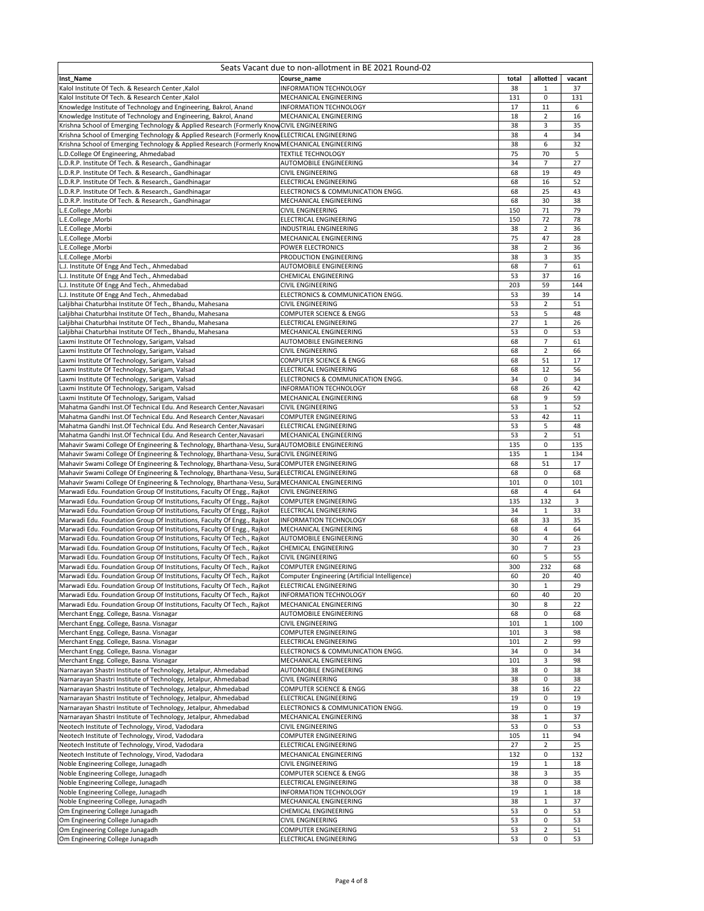| Seats Vacant due to non-allotment in BE 2021 Round-02                                                                                              |                                                                                 |            |                         |          |  |  |
|----------------------------------------------------------------------------------------------------------------------------------------------------|---------------------------------------------------------------------------------|------------|-------------------------|----------|--|--|
| Inst_Name                                                                                                                                          | Course name                                                                     | total      | allotted                | vacant   |  |  |
| Kalol Institute Of Tech. & Research Center , Kalol                                                                                                 | <b>INFORMATION TECHNOLOGY</b>                                                   | 38         | 1                       | 37       |  |  |
| Kalol Institute Of Tech. & Research Center , Kalol                                                                                                 | MECHANICAL ENGINEERING                                                          | 131        | 0                       | 131      |  |  |
| Knowledge Institute of Technology and Engineering, Bakrol, Anand                                                                                   | <b>INFORMATION TECHNOLOGY</b>                                                   | 17         | 11                      | 6        |  |  |
| Knowledge Institute of Technology and Engineering, Bakrol, Anand                                                                                   | MECHANICAL ENGINEERING                                                          | 18         | $\overline{\mathbf{c}}$ | 16       |  |  |
| Krishna School of Emerging Technology & Applied Research (Formerly KnowCIVIL ENGINEERING                                                           |                                                                                 | 38         | 3                       | 35       |  |  |
| Krishna School of Emerging Technology & Applied Research (Formerly Know ELECTRICAL ENGINEERING                                                     |                                                                                 | 38         | 4                       | 34       |  |  |
| Krishna School of Emerging Technology & Applied Research (Formerly KnowMECHANICAL ENGINEERING                                                      |                                                                                 | 38         | 6                       | 32       |  |  |
| L.D.College Of Engineering, Ahmedabad                                                                                                              | <b>TEXTILE TECHNOLOGY</b>                                                       | 75         | 70                      | 5        |  |  |
| L.D.R.P. Institute Of Tech. & Research., Gandhinagar                                                                                               | AUTOMOBILE ENGINEERING                                                          | 34         | $\overline{7}$          | 27       |  |  |
| L.D.R.P. Institute Of Tech. & Research., Gandhinagar                                                                                               | CIVIL ENGINEERING                                                               | 68         | 19                      | 49       |  |  |
| .D.R.P. Institute Of Tech. & Research., Gandhinagar                                                                                                | <b>ELECTRICAL ENGINEERING</b>                                                   | 68         | 16                      | 52       |  |  |
| L.D.R.P. Institute Of Tech. & Research., Gandhinagar                                                                                               | ELECTRONICS & COMMUNICATION ENGG.                                               | 68         | 25                      | 43       |  |  |
| L.D.R.P. Institute Of Tech. & Research., Gandhinagar                                                                                               | MECHANICAL ENGINEERING                                                          | 68         | 30                      | 38       |  |  |
| L.E.College, Morbi                                                                                                                                 | <b>CIVIL ENGINEERING</b>                                                        | 150        | 71                      | 79       |  |  |
| .E.College, Morbi                                                                                                                                  | ELECTRICAL ENGINEERING                                                          | 150        | 72                      | 78       |  |  |
| L.E.College, Morbi                                                                                                                                 | INDUSTRIAL ENGINEERING                                                          | 38         | 2                       | 36       |  |  |
| E.College, Morbi                                                                                                                                   | MECHANICAL ENGINEERING                                                          | 75         | 47                      | 28       |  |  |
| E.College ,Morbi                                                                                                                                   | POWER ELECTRONICS                                                               | 38         | 2                       | 36       |  |  |
| L.E.College, Morbi                                                                                                                                 | PRODUCTION ENGINEERING                                                          | 38         | 3                       | 35       |  |  |
| L.J. Institute Of Engg And Tech., Ahmedabad                                                                                                        | AUTOMOBILE ENGINEERING                                                          | 68         | $\overline{7}$          | 61       |  |  |
| L.J. Institute Of Engg And Tech., Ahmedabad                                                                                                        | CHEMICAL ENGINEERING                                                            | 53         | 37                      | 16       |  |  |
| L.J. Institute Of Engg And Tech., Ahmedabad                                                                                                        | CIVIL ENGINEERING                                                               | 203        | 59                      | 144      |  |  |
| L.J. Institute Of Engg And Tech., Ahmedabad                                                                                                        | ELECTRONICS & COMMUNICATION ENGG.                                               | 53         | 39                      | 14       |  |  |
| Laljibhai Chaturbhai Institute Of Tech., Bhandu, Mahesana                                                                                          | CIVIL ENGINEERING                                                               | 53         | 2                       | 51       |  |  |
| Laljibhai Chaturbhai Institute Of Tech., Bhandu, Mahesana                                                                                          | COMPUTER SCIENCE & ENGG                                                         | 53         | 5                       | 48       |  |  |
| Laljibhai Chaturbhai Institute Of Tech., Bhandu, Mahesana                                                                                          | ELECTRICAL ENGINEERING                                                          | 27         | $\mathbf 1$             | 26       |  |  |
| Laljibhai Chaturbhai Institute Of Tech., Bhandu, Mahesana                                                                                          | MECHANICAL ENGINEERING                                                          | 53         | 0                       | 53       |  |  |
| Laxmi Institute Of Technology, Sarigam, Valsad                                                                                                     | AUTOMOBILE ENGINEERING                                                          | 68         | 7                       | 61       |  |  |
| Laxmi Institute Of Technology, Sarigam, Valsad                                                                                                     | <b>CIVIL ENGINEERING</b>                                                        | 68         | $\overline{2}$          | 66       |  |  |
| Laxmi Institute Of Technology, Sarigam, Valsad                                                                                                     | <b>COMPUTER SCIENCE &amp; ENGG</b>                                              | 68         | 51                      | 17       |  |  |
| Laxmi Institute Of Technology, Sarigam, Valsad                                                                                                     | ELECTRICAL ENGINEERING                                                          | 68         | 12                      | 56       |  |  |
| Laxmi Institute Of Technology, Sarigam, Valsad                                                                                                     | ELECTRONICS & COMMUNICATION ENGG.                                               | 34         | 0                       | 34       |  |  |
| Laxmi Institute Of Technology, Sarigam, Valsad                                                                                                     | <b>INFORMATION TECHNOLOGY</b>                                                   | 68         | 26                      | 42       |  |  |
| Laxmi Institute Of Technology, Sarigam, Valsad                                                                                                     | MECHANICAL ENGINEERING                                                          | 68         | 9                       | 59       |  |  |
| Mahatma Gandhi Inst.Of Technical Edu. And Research Center, Navasari                                                                                | <b>CIVIL ENGINEERING</b>                                                        | 53         | $\mathbf{1}$            | 52       |  |  |
| Mahatma Gandhi Inst.Of Technical Edu. And Research Center, Navasari                                                                                | COMPUTER ENGINEERING                                                            | 53         | 42                      | 11       |  |  |
| Mahatma Gandhi Inst.Of Technical Edu. And Research Center, Navasari                                                                                | <b>ELECTRICAL ENGINEERING</b>                                                   | 53         | 5                       | 48       |  |  |
| Mahatma Gandhi Inst.Of Technical Edu. And Research Center, Navasari                                                                                | MECHANICAL ENGINEERING                                                          | 53         | $\overline{2}$          | 51       |  |  |
| Mahavir Swami College Of Engineering & Technology, Bharthana-Vesu, SuraAUTOMOBILE ENGINEERING                                                      |                                                                                 | 135        | 0                       | 135      |  |  |
| Mahavir Swami College Of Engineering & Technology, Bharthana-Vesu, SuraCIVIL ENGINEERING                                                           |                                                                                 | 135        | $\mathbf 1$             | 134      |  |  |
| Mahavir Swami College Of Engineering & Technology, Bharthana-Vesu, SuraCOMPUTER ENGINEERING                                                        |                                                                                 | 68         | 51                      | 17       |  |  |
| Mahavir Swami College Of Engineering & Technology, Bharthana-Vesu, SuraELECTRICAL ENGINEERING                                                      |                                                                                 | 68         | 0                       | 68       |  |  |
| Mahavir Swami College Of Engineering & Technology, Bharthana-Vesu, SuraMECHANICAL ENGINEERING                                                      |                                                                                 | 101        | 0                       | 101      |  |  |
| Marwadi Edu. Foundation Group Of Institutions, Faculty Of Engg., Rajkot                                                                            | <b>CIVIL ENGINEERING</b>                                                        | 68         | 4                       | 64       |  |  |
| Marwadi Edu. Foundation Group Of Institutions, Faculty Of Engg., Rajkot                                                                            | <b>COMPUTER ENGINEERING</b>                                                     | 135        | 132                     | 3        |  |  |
| Marwadi Edu. Foundation Group Of Institutions, Faculty Of Engg., Rajkot                                                                            | ELECTRICAL ENGINEERING                                                          | 34         | $\mathbf{1}$            | 33       |  |  |
| Marwadi Edu. Foundation Group Of Institutions, Faculty Of Engg., Rajkot                                                                            | <b>INFORMATION TECHNOLOGY</b>                                                   | 68         | 33                      | 35       |  |  |
| Marwadi Edu. Foundation Group Of Institutions, Faculty Of Engg., Rajkot                                                                            | MECHANICAL ENGINEERING                                                          | 68         | 4                       | 64       |  |  |
|                                                                                                                                                    | <b>AUTOMOBILE ENGINEERING</b>                                                   | 30         | 4                       |          |  |  |
| Marwadi Edu. Foundation Group Of Institutions, Faculty Of Tech., Rajkot                                                                            | CHEMICAL ENGINEERING                                                            | 30         | 7                       | 26<br>23 |  |  |
| Marwadi Edu. Foundation Group Of Institutions, Faculty Of Tech., Rajkot                                                                            |                                                                                 |            | 5                       |          |  |  |
| Marwadi Edu. Foundation Group Of Institutions, Faculty Of Tech., Rajkot                                                                            | <b>CIVIL ENGINEERING</b><br><b>COMPUTER ENGINEERING</b>                         | 60         |                         | 55       |  |  |
| Marwadi Edu. Foundation Group Of Institutions, Faculty Of Tech., Rajkot<br>Marwadi Edu. Foundation Group Of Institutions, Faculty Of Tech., Rajkot |                                                                                 | 300        | 232                     | 68       |  |  |
| Marwadi Edu. Foundation Group Of Institutions, Faculty Of Tech., Rajkot                                                                            | Computer Engineering (Artificial Intelligence)<br><b>ELECTRICAL ENGINEERING</b> | 60<br>30   | 20<br>$\mathbf 1$       | 40<br>29 |  |  |
|                                                                                                                                                    |                                                                                 |            |                         |          |  |  |
| Marwadi Edu. Foundation Group Of Institutions, Faculty Of Tech., Rajkot                                                                            | <b>INFORMATION TECHNOLOGY</b>                                                   | 60         | 40                      | 20       |  |  |
| Marwadi Edu. Foundation Group Of Institutions, Faculty Of Tech., Rajkot<br>Merchant Engg. College, Basna. Visnagar                                 | MECHANICAL ENGINEERING<br>AUTOMOBILE ENGINEERING                                | 30<br>68   | 8<br>0                  | 22<br>68 |  |  |
| Merchant Engg. College, Basna. Visnagar                                                                                                            | CIVIL ENGINEERING                                                               | 101        | $\mathbf 1$             | 100      |  |  |
|                                                                                                                                                    | COMPUTER ENGINEERING                                                            |            | 3                       | 98       |  |  |
| Merchant Engg. College, Basna. Visnagar<br>Merchant Engg. College, Basna. Visnagar                                                                 | ELECTRICAL ENGINEERING                                                          | 101<br>101 | $\overline{2}$          | 99       |  |  |
| Merchant Engg. College, Basna. Visnagar                                                                                                            | ELECTRONICS & COMMUNICATION ENGG.                                               | 34         | 0                       | 34       |  |  |
| Merchant Engg. College, Basna. Visnagar                                                                                                            |                                                                                 | 101        | 3                       | 98       |  |  |
| Narnarayan Shastri Institute of Technology, Jetalpur, Ahmedabad                                                                                    | MECHANICAL ENGINEERING<br>AUTOMOBILE ENGINEERING                                | 38         | 0                       | 38       |  |  |
|                                                                                                                                                    |                                                                                 |            |                         |          |  |  |
| Narnarayan Shastri Institute of Technology, Jetalpur, Ahmedabad                                                                                    | CIVIL ENGINEERING                                                               | 38         | 0                       | 38       |  |  |
| Narnarayan Shastri Institute of Technology, Jetalpur, Ahmedabad                                                                                    | COMPUTER SCIENCE & ENGG                                                         | 38<br>19   | 16<br>0                 | 22<br>19 |  |  |
| Narnarayan Shastri Institute of Technology, Jetalpur, Ahmedabad                                                                                    | ELECTRICAL ENGINEERING                                                          | 19         | 0                       |          |  |  |
| Narnarayan Shastri Institute of Technology, Jetalpur, Ahmedabad                                                                                    | ELECTRONICS & COMMUNICATION ENGG.                                               |            |                         | 19       |  |  |
| Narnarayan Shastri Institute of Technology, Jetalpur, Ahmedabad                                                                                    | MECHANICAL ENGINEERING                                                          | 38         | $\mathbf{1}$            | 37       |  |  |
| Neotech Institute of Technology, Virod, Vadodara                                                                                                   | <b>CIVIL ENGINEERING</b>                                                        | 53<br>105  | 0<br>11                 | 53<br>94 |  |  |
| Neotech Institute of Technology, Virod, Vadodara                                                                                                   | COMPUTER ENGINEERING                                                            |            |                         |          |  |  |
| Neotech Institute of Technology, Virod, Vadodara                                                                                                   | ELECTRICAL ENGINEERING                                                          | 27         | 2                       | 25       |  |  |
| Neotech Institute of Technology, Virod, Vadodara                                                                                                   | MECHANICAL ENGINEERING                                                          | 132        | 0                       | 132      |  |  |
| Noble Engineering College, Junagadh                                                                                                                | CIVIL ENGINEERING                                                               | 19         | $1\,$                   | 18       |  |  |
| Noble Engineering College, Junagadh                                                                                                                | COMPUTER SCIENCE & ENGG                                                         | 38         | 3                       | 35       |  |  |
| Noble Engineering College, Junagadh                                                                                                                | ELECTRICAL ENGINEERING                                                          | 38         | 0                       | 38       |  |  |
| Noble Engineering College, Junagadh                                                                                                                | <b>INFORMATION TECHNOLOGY</b>                                                   | 19         | $\mathbf 1$             | 18       |  |  |
| Noble Engineering College, Junagadh                                                                                                                | MECHANICAL ENGINEERING                                                          | 38         | $\mathbf{1}$            | 37       |  |  |
| Om Engineering College Junagadh                                                                                                                    | CHEMICAL ENGINEERING                                                            | 53         | 0                       | 53       |  |  |
| Om Engineering College Junagadh                                                                                                                    | CIVIL ENGINEERING                                                               | 53         | 0                       | 53       |  |  |
| Om Engineering College Junagadh                                                                                                                    | <b>COMPUTER ENGINEERING</b>                                                     | 53         | $\overline{\mathbf{c}}$ | 51       |  |  |
| Om Engineering College Junagadh                                                                                                                    | ELECTRICAL ENGINEERING                                                          | 53         | 0                       | 53       |  |  |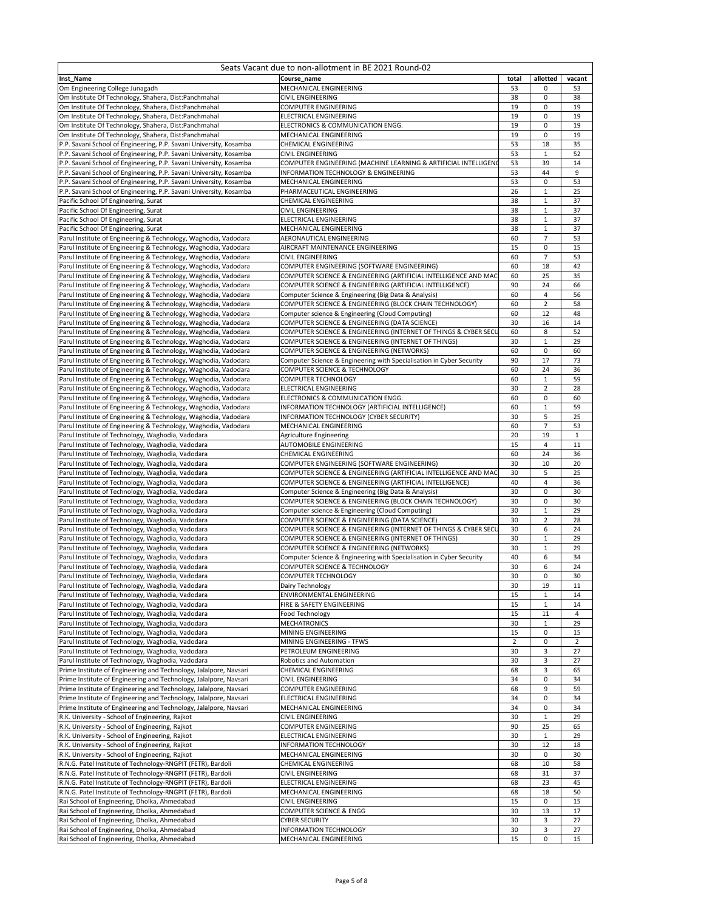| Seats Vacant due to non-allotment in BE 2021 Round-02                                                                                    |                                                                                                                  |                |                           |                |
|------------------------------------------------------------------------------------------------------------------------------------------|------------------------------------------------------------------------------------------------------------------|----------------|---------------------------|----------------|
| Inst_Name                                                                                                                                | Course name                                                                                                      | total          | allotted                  | vacant         |
| Om Engineering College Junagadh<br>Om Institute Of Technology, Shahera, Dist:Panchmahal                                                  | MECHANICAL ENGINEERING<br>CIVIL ENGINEERING                                                                      | 53<br>38       | 0<br>0                    | 53<br>38       |
| Om Institute Of Technology, Shahera, Dist:Panchmahal                                                                                     | COMPUTER ENGINEERING                                                                                             | 19             | 0                         | 19             |
| Om Institute Of Technology, Shahera, Dist:Panchmahal                                                                                     | ELECTRICAL ENGINEERING                                                                                           | 19             | 0                         | 19             |
| Om Institute Of Technology, Shahera, Dist:Panchmahal                                                                                     | ELECTRONICS & COMMUNICATION ENGG.                                                                                | 19             | $\mathbf 0$               | 19             |
| Om Institute Of Technology, Shahera, Dist:Panchmahal                                                                                     | MECHANICAL ENGINEERING                                                                                           | 19             | 0                         | 19             |
| P.P. Savani School of Engineering, P.P. Savani University, Kosamba                                                                       | CHEMICAL ENGINEERING                                                                                             | 53             | 18                        | 35             |
| P.P. Savani School of Engineering, P.P. Savani University, Kosamba                                                                       | CIVIL ENGINEERING                                                                                                | 53             | $\mathbf{1}$              | 52             |
| P.P. Savani School of Engineering, P.P. Savani University, Kosamba                                                                       | COMPUTER ENGINEERING (MACHINE LEARNING & ARTIFICIAL INTELLIGENO                                                  | 53             | 39                        | 14             |
| P.P. Savani School of Engineering, P.P. Savani University, Kosamba                                                                       | INFORMATION TECHNOLOGY & ENGINEERING                                                                             | 53             | 44                        | 9              |
| P.P. Savani School of Engineering, P.P. Savani University, Kosamba<br>P.P. Savani School of Engineering, P.P. Savani University, Kosamba | MECHANICAL ENGINEERING<br>PHARMACEUTICAL ENGINEERING                                                             | 53<br>26       | $\overline{0}$<br>$\,1\,$ | 53<br>25       |
| Pacific School Of Engineering, Surat                                                                                                     | CHEMICAL ENGINEERING                                                                                             | 38             | 1                         | 37             |
| Pacific School Of Engineering, Surat                                                                                                     | CIVIL ENGINEERING                                                                                                | 38             | $\mathbf{1}$              | 37             |
| Pacific School Of Engineering, Surat                                                                                                     | ELECTRICAL ENGINEERING                                                                                           | 38             | $\mathbf{1}$              | 37             |
| Pacific School Of Engineering, Surat                                                                                                     | MECHANICAL ENGINEERING                                                                                           | 38             | $\,1\,$                   | 37             |
| Parul Institute of Engineering & Technology, Waghodia, Vadodara                                                                          | AERONAUTICAL ENGINEERING                                                                                         | 60             | $\overline{7}$            | 53             |
| Parul Institute of Engineering & Technology, Waghodia, Vadodara                                                                          | AIRCRAFT MAINTENANCE ENGINEERING                                                                                 | 15             | 0                         | 15             |
| Parul Institute of Engineering & Technology, Waghodia, Vadodara                                                                          | CIVIL ENGINEERING                                                                                                | 60             | $\overline{7}$            | 53             |
| Parul Institute of Engineering & Technology, Waghodia, Vadodara                                                                          | COMPUTER ENGINEERING (SOFTWARE ENGINEERING)                                                                      | 60             | 18                        | 42             |
| Parul Institute of Engineering & Technology, Waghodia, Vadodara                                                                          | COMPUTER SCIENCE & ENGINEERING (ARTIFICIAL INTELLIGENCE AND MAC                                                  | 60             | 25                        | 35             |
| Parul Institute of Engineering & Technology, Waghodia, Vadodara                                                                          | COMPUTER SCIENCE & ENGINEERING (ARTIFICIAL INTELLIGENCE)                                                         | 90             | 24                        | 66             |
| Parul Institute of Engineering & Technology, Waghodia, Vadodara                                                                          | Computer Science & Engineering (Big Data & Analysis)                                                             | 60             | $\overline{4}$            | 56             |
| Parul Institute of Engineering & Technology, Waghodia, Vadodara                                                                          | COMPUTER SCIENCE & ENGINEERING (BLOCK CHAIN TECHNOLOGY)                                                          | 60             | $\overline{2}$            | 58             |
| Parul Institute of Engineering & Technology, Waghodia, Vadodara                                                                          | Computer science & Engineering (Cloud Computing)                                                                 | 60             | 12                        | 48             |
| Parul Institute of Engineering & Technology, Waghodia, Vadodara                                                                          | COMPUTER SCIENCE & ENGINEERING (DATA SCIENCE)<br>COMPUTER SCIENCE & ENGINEERING (INTERNET OF THINGS & CYBER SECU | 30<br>60       | 16<br>8                   | 14<br>52       |
| Parul Institute of Engineering & Technology, Waghodia, Vadodara<br>Parul Institute of Engineering & Technology, Waghodia, Vadodara       | COMPUTER SCIENCE & ENGINEERING (INTERNET OF THINGS)                                                              | 30             | $\mathbf{1}$              | 29             |
| Parul Institute of Engineering & Technology, Waghodia, Vadodara                                                                          | COMPUTER SCIENCE & ENGINEERING (NETWORKS)                                                                        | 60             | 0                         | 60             |
| Parul Institute of Engineering & Technology, Waghodia, Vadodara                                                                          | Computer Science & Engineering with Specialisation in Cyber Security                                             | 90             | 17                        | 73             |
| Parul Institute of Engineering & Technology, Waghodia, Vadodara                                                                          | COMPUTER SCIENCE & TECHNOLOGY                                                                                    | 60             | 24                        | 36             |
| Parul Institute of Engineering & Technology, Waghodia, Vadodara                                                                          | COMPUTER TECHNOLOGY                                                                                              | 60             | $\mathbf 1$               | 59             |
| Parul Institute of Engineering & Technology, Waghodia, Vadodara                                                                          | ELECTRICAL ENGINEERING                                                                                           | 30             | $\overline{2}$            | 28             |
| Parul Institute of Engineering & Technology, Waghodia, Vadodara                                                                          | ELECTRONICS & COMMUNICATION ENGG.                                                                                | 60             | 0                         | 60             |
| Parul Institute of Engineering & Technology, Waghodia, Vadodara                                                                          | INFORMATION TECHNOLOGY (ARTIFICIAL INTELLIGENCE)                                                                 | 60             | 1                         | 59             |
| Parul Institute of Engineering & Technology, Waghodia, Vadodara                                                                          | INFORMATION TECHNOLOGY (CYBER SECURITY)                                                                          | 30             | 5                         | 25             |
| Parul Institute of Engineering & Technology, Waghodia, Vadodara                                                                          | MECHANICAL ENGINEERING                                                                                           | 60             | $\overline{7}$            | 53             |
| Parul Institute of Technology, Waghodia, Vadodara                                                                                        | Agriculture Engineering                                                                                          | 20             | 19                        | 1              |
| Parul Institute of Technology, Waghodia, Vadodara                                                                                        | AUTOMOBILE ENGINEERING                                                                                           | 15             | $\overline{4}$            | 11             |
| Parul Institute of Technology, Waghodia, Vadodara                                                                                        | CHEMICAL ENGINEERING                                                                                             | 60             | 24                        | 36             |
| Parul Institute of Technology, Waghodia, Vadodara                                                                                        | COMPUTER ENGINEERING (SOFTWARE ENGINEERING)                                                                      | 30             | 10                        | 20             |
| Parul Institute of Technology, Waghodia, Vadodara                                                                                        | COMPUTER SCIENCE & ENGINEERING (ARTIFICIAL INTELLIGENCE AND MAC                                                  | 30<br>40       | 5<br>4                    | 25<br>36       |
| Parul Institute of Technology, Waghodia, Vadodara<br>Parul Institute of Technology, Waghodia, Vadodara                                   | COMPUTER SCIENCE & ENGINEERING (ARTIFICIAL INTELLIGENCE)<br>Computer Science & Engineering (Big Data & Analysis) | 30             | 0                         | 30             |
| Parul Institute of Technology, Waghodia, Vadodara                                                                                        | COMPUTER SCIENCE & ENGINEERING (BLOCK CHAIN TECHNOLOGY)                                                          | 30             | 0                         | 30             |
| Parul Institute of Technology, Waghodia, Vadodara                                                                                        | Computer science & Engineering (Cloud Computing)                                                                 | 30             | 1                         | 29             |
| Parul Institute of Technology, Waghodia, Vadodara                                                                                        | COMPUTER SCIENCE & ENGINEERING (DATA SCIENCE)                                                                    | 30             | $\overline{2}$            | 28             |
| Parul Institute of Technology, Waghodia, Vadodara                                                                                        | COMPUTER SCIENCE & ENGINEERING (INTERNET OF THINGS & CYBER SECU                                                  | 30             | 6                         | 24             |
| Parul Institute of Technology, Waghodia, Vadodara                                                                                        | COMPUTER SCIENCE & ENGINEERING (INTERNET OF THINGS)                                                              | 30             | $\mathbf 1$               | 29             |
| Parul Institute of Technology, Waghodia, Vadodara                                                                                        | COMPUTER SCIENCE & ENGINEERING (NETWORKS)                                                                        | 30             | $\mathbf{1}$              | 29             |
| Parul Institute of Technology, Waghodia, Vadodara                                                                                        | Computer Science & Engineering with Specialisation in Cyber Security                                             | 40             | 6                         | 34             |
| Parul Institute of Technology, Waghodia, Vadodara                                                                                        | COMPUTER SCIENCE & TECHNOLOGY                                                                                    | 30             | 6                         | 24             |
| Parul Institute of Technology, Waghodia, Vadodara                                                                                        | COMPUTER TECHNOLOGY                                                                                              | 30             | 0                         | 30             |
| Parul Institute of Technology, Waghodia, Vadodara                                                                                        | Dairy Technology                                                                                                 | 30             | 19                        | 11             |
| Parul Institute of Technology, Waghodia, Vadodara                                                                                        | ENVIRONMENTAL ENGINEERING                                                                                        | 15             | $\mathbf{1}$              | 14             |
| Parul Institute of Technology, Waghodia, Vadodara                                                                                        | FIRE & SAFETY ENGINEERING                                                                                        | 15             | $1\,$                     | 14             |
| Parul Institute of Technology, Waghodia, Vadodara                                                                                        | Food Technology                                                                                                  | 15             | 11                        | 4              |
| Parul Institute of Technology, Waghodia, Vadodara                                                                                        | MECHATRONICS                                                                                                     | 30             | $\mathbf{1}$              | 29             |
| Parul Institute of Technology, Waghodia, Vadodara                                                                                        | MINING ENGINEERING                                                                                               | 15             | $\pmb{0}$                 | 15             |
| Parul Institute of Technology, Waghodia, Vadodara                                                                                        | MINING ENGINEERING - TFWS                                                                                        | $\overline{2}$ | 0                         | $\overline{2}$ |
| Parul Institute of Technology, Waghodia, Vadodara<br>Parul Institute of Technology, Waghodia, Vadodara                                   | PETROLEUM ENGINEERING<br>Robotics and Automation                                                                 | 30<br>30       | 3<br>3                    | 27<br>27       |
| Prime Institute of Engineering and Technology, Jalalpore, Navsari                                                                        | CHEMICAL ENGINEERING                                                                                             | 68             | 3                         | 65             |
| Prime Institute of Engineering and Technology, Jalalpore, Navsari                                                                        | CIVIL ENGINEERING                                                                                                | 34             | 0                         | 34             |
| Prime Institute of Engineering and Technology, Jalalpore, Navsari                                                                        | COMPUTER ENGINEERING                                                                                             | 68             | 9                         | 59             |
| Prime Institute of Engineering and Technology, Jalalpore, Navsari                                                                        | ELECTRICAL ENGINEERING                                                                                           | 34             | 0                         | 34             |
| Prime Institute of Engineering and Technology, Jalalpore, Navsari                                                                        | MECHANICAL ENGINEERING                                                                                           | 34             | 0                         | 34             |
| R.K. University - School of Engineering, Rajkot                                                                                          | CIVIL ENGINEERING                                                                                                | 30             | $\mathbf{1}$              | 29             |
| R.K. University - School of Engineering, Rajkot                                                                                          | COMPUTER ENGINEERING                                                                                             | 90             | 25                        | 65             |
| R.K. University - School of Engineering, Rajkot                                                                                          | ELECTRICAL ENGINEERING                                                                                           | 30             | $\,1\,$                   | 29             |
| R.K. University - School of Engineering, Rajkot                                                                                          | INFORMATION TECHNOLOGY                                                                                           | 30             | 12                        | 18             |
| R.K. University - School of Engineering, Rajkot                                                                                          | MECHANICAL ENGINEERING                                                                                           | 30             | 0                         | 30             |
| R.N.G. Patel Institute of Technology-RNGPIT (FETR), Bardoli                                                                              | CHEMICAL ENGINEERING                                                                                             | 68             | 10                        | 58             |
| R.N.G. Patel Institute of Technology-RNGPIT (FETR), Bardoli                                                                              | <b>CIVIL ENGINEERING</b>                                                                                         | 68             | 31                        | 37             |
| R.N.G. Patel Institute of Technology-RNGPIT (FETR), Bardoli                                                                              | ELECTRICAL ENGINEERING                                                                                           | 68             | 23                        | 45             |
| R.N.G. Patel Institute of Technology-RNGPIT (FETR), Bardoli                                                                              | MECHANICAL ENGINEERING                                                                                           | 68             | 18                        | 50             |
| Rai School of Engineering, Dholka, Ahmedabad                                                                                             | CIVIL ENGINEERING                                                                                                | 15             | 0                         | 15             |
| Rai School of Engineering, Dholka, Ahmedabad                                                                                             | COMPUTER SCIENCE & ENGG                                                                                          | 30             | 13                        | 17             |
| Rai School of Engineering, Dholka, Ahmedabad                                                                                             | <b>CYBER SECURITY</b>                                                                                            | 30             | 3                         | 27             |
| Rai School of Engineering, Dholka, Ahmedabad                                                                                             | INFORMATION TECHNOLOGY                                                                                           | 30             | 3                         | 27             |
| Rai School of Engineering, Dholka, Ahmedabad                                                                                             | MECHANICAL ENGINEERING                                                                                           | 15             | $\pmb{0}$                 | 15             |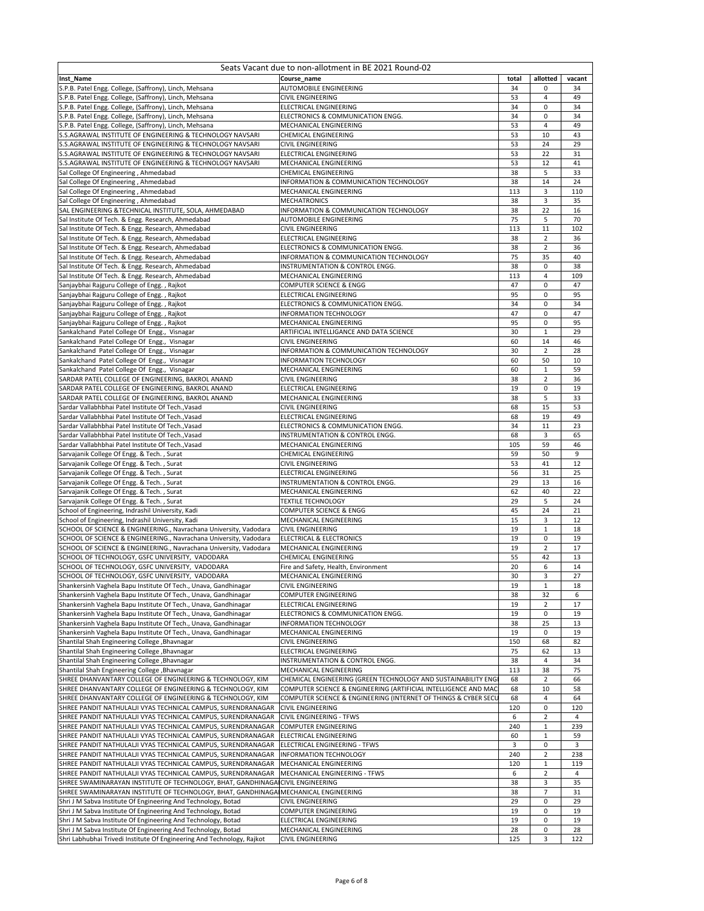|                                                                                                                                | Seats Vacant due to non-allotment in BE 2021 Round-02           |          |                |                |
|--------------------------------------------------------------------------------------------------------------------------------|-----------------------------------------------------------------|----------|----------------|----------------|
| Inst_Name                                                                                                                      | Course name                                                     | total    | allotted       | vacant         |
| S.P.B. Patel Engg. College, (Saffrony), Linch, Mehsana                                                                         | AUTOMOBILE ENGINEERING                                          | 34       | 0              | 34             |
| S.P.B. Patel Engg. College, (Saffrony), Linch, Mehsana<br>S.P.B. Patel Engg. College, (Saffrony), Linch, Mehsana               | CIVIL ENGINEERING<br>ELECTRICAL ENGINEERING                     | 53<br>34 | 4<br>0         | 49<br>34       |
| S.P.B. Patel Engg. College, (Saffrony), Linch, Mehsana                                                                         | ELECTRONICS & COMMUNICATION ENGG.                               | 34       | 0              | 34             |
| S.P.B. Patel Engg. College, (Saffrony), Linch, Mehsana                                                                         | MECHANICAL ENGINEERING                                          | 53       | $\overline{4}$ | 49             |
| S.S.AGRAWAL INSTITUTE OF ENGINEERING & TECHNOLOGY NAVSARI                                                                      | CHEMICAL ENGINEERING                                            | 53       | 10             | 43             |
| S.S.AGRAWAL INSTITUTE OF ENGINEERING & TECHNOLOGY NAVSARI                                                                      | CIVIL ENGINEERING                                               | 53       | 24             | 29             |
| S.S.AGRAWAL INSTITUTE OF ENGINEERING & TECHNOLOGY NAVSARI                                                                      | <b>ELECTRICAL ENGINEERING</b>                                   | 53       | 22             | 31             |
| S.S.AGRAWAL INSTITUTE OF ENGINEERING & TECHNOLOGY NAVSARI                                                                      | MECHANICAL ENGINEERING                                          | 53       | 12             | 41             |
| Sal College Of Engineering, Ahmedabad                                                                                          | CHEMICAL ENGINEERING                                            | 38       | 5              | 33             |
| Sal College Of Engineering, Ahmedabad                                                                                          | INFORMATION & COMMUNICATION TECHNOLOGY                          | 38       | 14             | 24             |
| Sal College Of Engineering, Ahmedabad                                                                                          | MECHANICAL ENGINEERING                                          | 113      | 3              | 110            |
| Sal College Of Engineering, Ahmedabad                                                                                          | <b>MECHATRONICS</b>                                             | 38       | 3              | 35             |
| SAL ENGINEERING & TECHNICAL INSTITUTE, SOLA, AHMEDABAD                                                                         | INFORMATION & COMMUNICATION TECHNOLOGY                          | 38       | 22             | 16             |
| Sal Institute Of Tech. & Engg. Research, Ahmedabad                                                                             | AUTOMOBILE ENGINEERING                                          | 75       | 5              | 70             |
| Sal Institute Of Tech. & Engg. Research, Ahmedabad                                                                             | CIVIL ENGINEERING                                               | 113      | 11             | 102            |
| Sal Institute Of Tech. & Engg. Research, Ahmedabad                                                                             | ELECTRICAL ENGINEERING                                          | 38       | $\overline{2}$ | 36             |
| Sal Institute Of Tech. & Engg. Research, Ahmedabad                                                                             | ELECTRONICS & COMMUNICATION ENGG.                               | 38       | $\overline{2}$ | 36             |
| Sal Institute Of Tech. & Engg. Research, Ahmedabad                                                                             | INFORMATION & COMMUNICATION TECHNOLOGY                          | 75<br>38 | 35             | 40             |
| Sal Institute Of Tech. & Engg. Research, Ahmedabad                                                                             | INSTRUMENTATION & CONTROL ENGG.<br>MECHANICAL ENGINEERING       | 113      | 0<br>4         | 38<br>109      |
| Sal Institute Of Tech. & Engg. Research, Ahmedabad<br>Sanjaybhai Rajguru College of Engg., Rajkot                              | COMPUTER SCIENCE & ENGG                                         | 47       | $\overline{0}$ | 47             |
| Sanjaybhai Rajguru College of Engg., Rajkot                                                                                    | ELECTRICAL ENGINEERING                                          | 95       | 0              | 95             |
| Sanjaybhai Rajguru College of Engg., Rajkot                                                                                    | ELECTRONICS & COMMUNICATION ENGG.                               | 34       | 0              | 34             |
| Sanjaybhai Rajguru College of Engg., Rajkot                                                                                    | <b>INFORMATION TECHNOLOGY</b>                                   | 47       | 0              | 47             |
| Sanjaybhai Rajguru College of Engg., Rajkot                                                                                    | MECHANICAL ENGINEERING                                          | 95       | 0              | 95             |
| Sankalchand Patel College Of Engg., Visnagar                                                                                   | ARTIFICIAL INTELLIGANCE AND DATA SCIENCE                        | 30       | 1              | 29             |
| Sankalchand Patel College Of Engg., Visnagar                                                                                   | CIVIL ENGINEERING                                               | 60       | 14             | 46             |
| Sankalchand Patel College Of Engg., Visnagar                                                                                   | INFORMATION & COMMUNICATION TECHNOLOGY                          | 30       | $\overline{2}$ | 28             |
| Sankalchand Patel College Of Engg., Visnagar                                                                                   | <b>INFORMATION TECHNOLOGY</b>                                   | 60       | 50             | 10             |
| Sankalchand Patel College Of Engg., Visnagar                                                                                   | MECHANICAL ENGINEERING                                          | 60       | $\,1\,$        | 59             |
| SARDAR PATEL COLLEGE OF ENGINEERING, BAKROL ANAND                                                                              | CIVIL ENGINEERING                                               | 38       | $\overline{2}$ | 36             |
| SARDAR PATEL COLLEGE OF ENGINEERING, BAKROL ANAND                                                                              | ELECTRICAL ENGINEERING                                          | 19       | 0              | 19             |
| SARDAR PATEL COLLEGE OF ENGINEERING, BAKROL ANAND                                                                              | MECHANICAL ENGINEERING                                          | 38       | 5              | 33             |
| Sardar Vallabhbhai Patel Institute Of Tech., Vasad                                                                             | CIVIL ENGINEERING                                               | 68       | 15             | 53             |
| Sardar Vallabhbhai Patel Institute Of Tech., Vasad                                                                             | ELECTRICAL ENGINEERING                                          | 68       | 19             | 49             |
| Sardar Vallabhbhai Patel Institute Of Tech., Vasad                                                                             | ELECTRONICS & COMMUNICATION ENGG.                               | 34       | 11             | 23             |
| Sardar Vallabhbhai Patel Institute Of Tech., Vasad                                                                             | INSTRUMENTATION & CONTROL ENGG.                                 | 68       | 3              | 65             |
| Sardar Vallabhbhai Patel Institute Of Tech., Vasad                                                                             | MECHANICAL ENGINEERING                                          | 105      | 59             | 46             |
| Sarvajanik College Of Engg. & Tech., Surat                                                                                     | CHEMICAL ENGINEERING                                            | 59       | 50             | 9              |
| Sarvajanik College Of Engg. & Tech., Surat                                                                                     | CIVIL ENGINEERING                                               | 53       | 41             | 12             |
| Sarvajanik College Of Engg. & Tech., Surat                                                                                     | ELECTRICAL ENGINEERING                                          | 56       | 31             | 25             |
| Sarvajanik College Of Engg. & Tech., Surat                                                                                     | INSTRUMENTATION & CONTROL ENGG.                                 | 29       | 13             | 16             |
| Sarvajanik College Of Engg. & Tech., Surat                                                                                     | MECHANICAL ENGINEERING                                          | 62       | 40             | 22             |
| Sarvajanik College Of Engg. & Tech., Surat                                                                                     | <b>TEXTILE TECHNOLOGY</b>                                       | 29       | 5              | 24             |
| School of Engineering, Indrashil University, Kadi                                                                              | COMPUTER SCIENCE & ENGG                                         | 45       | 24             | 21             |
| School of Engineering, Indrashil University, Kadi                                                                              | MECHANICAL ENGINEERING                                          | 15       | 3              | 12             |
| SCHOOL OF SCIENCE & ENGINEERING., Navrachana University, Vadodara                                                              | <b>CIVIL ENGINEERING</b>                                        | 19       | $\mathbf{1}$   | 18             |
| SCHOOL OF SCIENCE & ENGINEERING., Navrachana University, Vadodara                                                              | <b>ELECTRICAL &amp; ELECTRONICS</b>                             | 19       | 0              | 19             |
| SCHOOL OF SCIENCE & ENGINEERING., Navrachana University, Vadodara                                                              | MECHANICAL ENGINEERING<br>CHEMICAL ENGINEERING                  | 19       | $\overline{2}$ | 17             |
| SCHOOL OF TECHNOLOGY, GSFC UNIVERSITY, VADODARA<br>SCHOOL OF TECHNOLOGY, GSFC UNIVERSITY, VADODARA                             |                                                                 | 55<br>20 | 42<br>6        | 13<br>14       |
| SCHOOL OF TECHNOLOGY, GSFC UNIVERSITY, VADODARA                                                                                | Fire and Safety, Health, Environment<br>MECHANICAL ENGINEERING  | 30       | 3              | 27             |
| Shankersinh Vaghela Bapu Institute Of Tech., Unava, Gandhinagar                                                                | CIVIL ENGINEERING                                               | 19       | 1              | 18             |
| Shankersinh Vaghela Bapu Institute Of Tech., Unava, Gandhinagar                                                                | COMPUTER ENGINEERING                                            | 38       | 32             | 6              |
| Shankersinh Vaghela Bapu Institute Of Tech., Unava, Gandhinagar                                                                | ELECTRICAL ENGINEERING                                          | 19       | $\overline{2}$ | 17             |
| Shankersinh Vaghela Bapu Institute Of Tech., Unava, Gandhinagar                                                                | ELECTRONICS & COMMUNICATION ENGG.                               | 19       | 0              | 19             |
| Shankersinh Vaghela Bapu Institute Of Tech., Unava, Gandhinagar                                                                | <b>INFORMATION TECHNOLOGY</b>                                   | 38       | 25             | 13             |
| Shankersinh Vaghela Bapu Institute Of Tech., Unava, Gandhinagar                                                                | MECHANICAL ENGINEERING                                          | 19       | 0              | 19             |
| Shantilal Shah Engineering College , Bhavnagar                                                                                 | <b>CIVIL ENGINEERING</b>                                        | 150      | 68             | 82             |
| Shantilal Shah Engineering College , Bhavnagar                                                                                 | ELECTRICAL ENGINEERING                                          | 75       | 62             | 13             |
| Shantilal Shah Engineering College , Bhavnagar                                                                                 | INSTRUMENTATION & CONTROL ENGG.                                 | 38       | $\overline{4}$ | 34             |
| Shantilal Shah Engineering College, Bhavnagar                                                                                  | MECHANICAL ENGINEERING                                          | 113      | 38             | 75             |
| SHREE DHANVANTARY COLLEGE OF ENGINEERING & TECHNOLOGY, KIM                                                                     | CHEMICAL ENGINEERING (GREEN TECHNOLOGY AND SUSTAINABILITY ENG   | 68       | $\overline{2}$ | 66             |
| SHREE DHANVANTARY COLLEGE OF ENGINEERING & TECHNOLOGY, KIM                                                                     | COMPUTER SCIENCE & ENGINEERING (ARTIFICIAL INTELLIGENCE AND MAC | 68       | 10             | 58             |
| SHREE DHANVANTARY COLLEGE OF ENGINEERING & TECHNOLOGY, KIM                                                                     | COMPUTER SCIENCE & ENGINEERING (INTERNET OF THINGS & CYBER SECL | 68       | $\overline{4}$ | 64             |
| SHREE PANDIT NATHULALJI VYAS TECHNICAL CAMPUS, SURENDRANAGAR                                                                   | <b>CIVIL ENGINEERING</b>                                        | 120      | 0              | 120            |
| SHREE PANDIT NATHULALJI VYAS TECHNICAL CAMPUS, SURENDRANAGAR                                                                   | CIVIL ENGINEERING - TFWS                                        | 6        | $\mathbf 2$    | $\overline{4}$ |
| SHREE PANDIT NATHULALJI VYAS TECHNICAL CAMPUS, SURENDRANAGAR                                                                   | <b>COMPUTER ENGINEERING</b>                                     | 240      | $\,1\,$        | 239            |
| SHREE PANDIT NATHULALJI VYAS TECHNICAL CAMPUS, SURENDRANAGAR                                                                   | <b>ELECTRICAL ENGINEERING</b>                                   | 60       | 1              | 59             |
| SHREE PANDIT NATHULALJI VYAS TECHNICAL CAMPUS, SURENDRANAGAR                                                                   | ELECTRICAL ENGINEERING - TFWS                                   | 3        | 0              | 3              |
| SHREE PANDIT NATHULALJI VYAS TECHNICAL CAMPUS, SURENDRANAGAR                                                                   | <b>INFORMATION TECHNOLOGY</b>                                   | 240      | $\overline{2}$ | 238            |
| SHREE PANDIT NATHULALJI VYAS TECHNICAL CAMPUS, SURENDRANAGAR                                                                   | MECHANICAL ENGINEERING                                          | 120      | $\,1\,$        | 119            |
| SHREE PANDIT NATHULALJI VYAS TECHNICAL CAMPUS, SURENDRANAGAR                                                                   | MECHANICAL ENGINEERING - TFWS                                   | 6        | $\overline{2}$ | 4              |
| SHREE SWAMINARAYAN INSTITUTE OF TECHNOLOGY, BHAT, GANDHINAGAICIVIL ENGINEERING                                                 |                                                                 | 38       | 3              | 35             |
| SHREE SWAMINARAYAN INSTITUTE OF TECHNOLOGY, BHAT, GANDHINAGAIMECHANICAL ENGINEERING                                            |                                                                 | 38       | $\overline{7}$ | 31             |
| Shri J M Sabva Institute Of Engineering And Technology, Botad                                                                  | CIVIL ENGINEERING                                               | 29       | 0              | 29             |
| Shri J M Sabva Institute Of Engineering And Technology, Botad<br>Shri J M Sabva Institute Of Engineering And Technology, Botad | COMPUTER ENGINEERING<br>ELECTRICAL ENGINEERING                  | 19<br>19 | 0<br>0         | 19<br>19       |
| Shri J M Sabva Institute Of Engineering And Technology, Botad                                                                  | MECHANICAL ENGINEERING                                          | 28       | 0              | 28             |
| Shri Labhubhai Trivedi Institute Of Engineering And Technology, Rajkot                                                         | <b>CIVIL ENGINEERING</b>                                        | 125      | 3              | 122            |
|                                                                                                                                |                                                                 |          |                |                |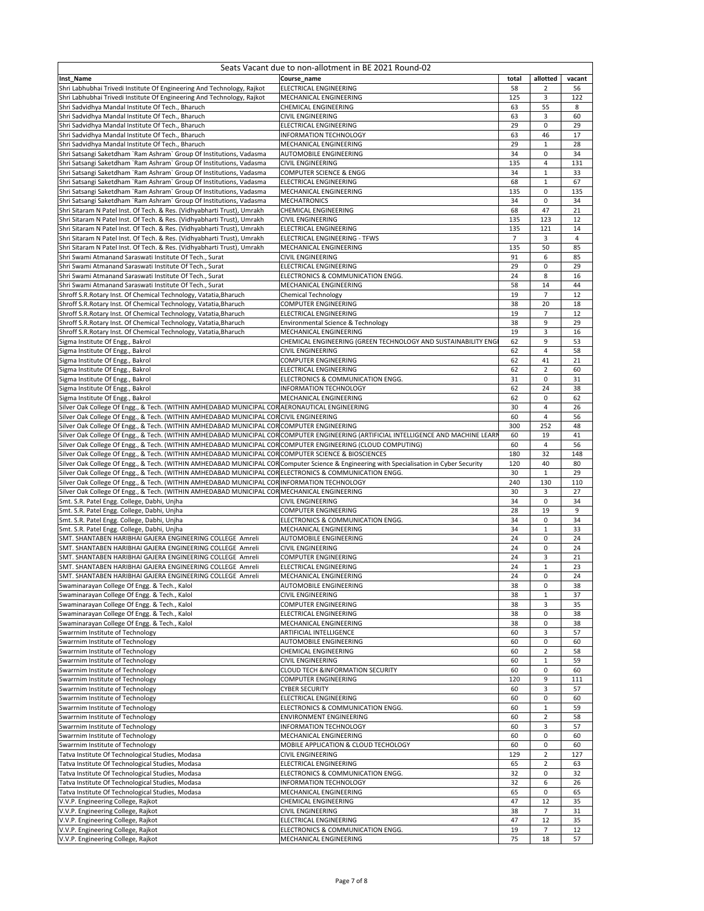| Seats Vacant due to non-allotment in BE 2021 Round-02                                                                                                                                                                                              |                                                               |                |                      |                |  |  |
|----------------------------------------------------------------------------------------------------------------------------------------------------------------------------------------------------------------------------------------------------|---------------------------------------------------------------|----------------|----------------------|----------------|--|--|
| Inst Name                                                                                                                                                                                                                                          | Course name                                                   | total          | allotted             | vacant         |  |  |
| Shri Labhubhai Trivedi Institute Of Engineering And Technology, Rajkot                                                                                                                                                                             | ELECTRICAL ENGINEERING                                        | 58             | $\overline{2}$       | 56             |  |  |
| Shri Labhubhai Trivedi Institute Of Engineering And Technology, Rajkot                                                                                                                                                                             | MECHANICAL ENGINEERING                                        | 125<br>63      | 3                    | 122<br>8       |  |  |
| Shri Sadvidhya Mandal Institute Of Tech., Bharuch<br>Shri Sadvidhya Mandal Institute Of Tech., Bharuch                                                                                                                                             | CHEMICAL ENGINEERING<br>CIVIL ENGINEERING                     | 63             | 55<br>3              | 60             |  |  |
| Shri Sadvidhya Mandal Institute Of Tech., Bharuch                                                                                                                                                                                                  | ELECTRICAL ENGINEERING                                        | 29             | 0                    | 29             |  |  |
| Shri Sadvidhya Mandal Institute Of Tech., Bharuch                                                                                                                                                                                                  | INFORMATION TECHNOLOGY                                        | 63             | 46                   | 17             |  |  |
| Shri Sadvidhya Mandal Institute Of Tech., Bharuch                                                                                                                                                                                                  | MECHANICAL ENGINEERING                                        | 29             | $\mathbf{1}$         | 28             |  |  |
| Shri Satsangi Saketdham `Ram Ashram` Group Of Institutions, Vadasma                                                                                                                                                                                | <b>AUTOMOBILE ENGINEERING</b>                                 | 34             | 0                    | 34             |  |  |
| Shri Satsangi Saketdham `Ram Ashram` Group Of Institutions, Vadasma                                                                                                                                                                                | CIVIL ENGINEERING                                             | 135            | 4                    | 131            |  |  |
| Shri Satsangi Saketdham `Ram Ashram` Group Of Institutions, Vadasma                                                                                                                                                                                | COMPUTER SCIENCE & ENGG                                       | 34             | $\mathbf{1}$         | 33             |  |  |
| Shri Satsangi Saketdham 'Ram Ashram' Group Of Institutions, Vadasma                                                                                                                                                                                | ELECTRICAL ENGINEERING                                        | 68             | $\mathbf 1$          | 67             |  |  |
| Shri Satsangi Saketdham 'Ram Ashram' Group Of Institutions, Vadasma<br>Shri Satsangi Saketdham `Ram Ashram` Group Of Institutions, Vadasma                                                                                                         | MECHANICAL ENGINEERING<br>MECHATRONICS                        | 135<br>34      | 0<br>0               | 135<br>34      |  |  |
| Shri Sitaram N Patel Inst. Of Tech. & Res. (Vidhyabharti Trust), Umrakh                                                                                                                                                                            | CHEMICAL ENGINEERING                                          | 68             | 47                   | 21             |  |  |
| Shri Sitaram N Patel Inst. Of Tech. & Res. (Vidhyabharti Trust), Umrakh                                                                                                                                                                            | CIVIL ENGINEERING                                             | 135            | 123                  | 12             |  |  |
| Shri Sitaram N Patel Inst. Of Tech. & Res. (Vidhyabharti Trust), Umrakh                                                                                                                                                                            | ELECTRICAL ENGINEERING                                        | 135            | 121                  | 14             |  |  |
| Shri Sitaram N Patel Inst. Of Tech. & Res. (Vidhyabharti Trust), Umrakh                                                                                                                                                                            | ELECTRICAL ENGINEERING - TFWS                                 | $\overline{7}$ | 3                    | $\overline{4}$ |  |  |
| Shri Sitaram N Patel Inst. Of Tech. & Res. (Vidhyabharti Trust), Umrakh                                                                                                                                                                            | MECHANICAL ENGINEERING                                        | 135            | 50                   | 85             |  |  |
| Shri Swami Atmanand Saraswati Institute Of Tech., Surat                                                                                                                                                                                            | CIVIL ENGINEERING                                             | 91             | 6                    | 85             |  |  |
| Shri Swami Atmanand Saraswati Institute Of Tech., Surat                                                                                                                                                                                            | ELECTRICAL ENGINEERING                                        | 29             | 0                    | 29             |  |  |
| Shri Swami Atmanand Saraswati Institute Of Tech., Surat                                                                                                                                                                                            | ELECTRONICS & COMMUNICATION ENGG.                             | 24             | 8                    | 16             |  |  |
| Shri Swami Atmanand Saraswati Institute Of Tech., Surat<br>Shroff S.R. Rotary Inst. Of Chemical Technology, Vatatia, Bharuch                                                                                                                       | MECHANICAL ENGINEERING<br><b>Chemical Technology</b>          | 58<br>19       | 14<br>$\overline{7}$ | 44<br>12       |  |  |
| Shroff S.R.Rotary Inst. Of Chemical Technology, Vatatia, Bharuch                                                                                                                                                                                   | COMPUTER ENGINEERING                                          | 38             | 20                   | 18             |  |  |
| Shroff S.R.Rotary Inst. Of Chemical Technology, Vatatia, Bharuch                                                                                                                                                                                   | ELECTRICAL ENGINEERING                                        | 19             | 7                    | 12             |  |  |
| Shroff S.R.Rotary Inst. Of Chemical Technology, Vatatia, Bharuch                                                                                                                                                                                   | Environmental Science & Technology                            | 38             | 9                    | 29             |  |  |
| Shroff S.R.Rotary Inst. Of Chemical Technology, Vatatia, Bharuch                                                                                                                                                                                   | MECHANICAL ENGINEERING                                        | 19             | 3                    | 16             |  |  |
| Sigma Institute Of Engg., Bakrol                                                                                                                                                                                                                   | CHEMICAL ENGINEERING (GREEN TECHNOLOGY AND SUSTAINABILITY ENG | 62             | 9                    | 53             |  |  |
| Sigma Institute Of Engg., Bakrol                                                                                                                                                                                                                   | CIVIL ENGINEERING                                             | 62             | 4                    | 58             |  |  |
| Sigma Institute Of Engg., Bakrol                                                                                                                                                                                                                   | <b>COMPUTER ENGINEERING</b>                                   | 62             | 41                   | 21             |  |  |
| Sigma Institute Of Engg., Bakrol                                                                                                                                                                                                                   | ELECTRICAL ENGINEERING                                        | 62<br>31       | $\overline{2}$<br>0  | 60<br>31       |  |  |
| Sigma Institute Of Engg., Bakrol<br>Sigma Institute Of Engg., Bakrol                                                                                                                                                                               | ELECTRONICS & COMMUNICATION ENGG.<br>INFORMATION TECHNOLOGY   | 62             | 24                   | 38             |  |  |
| Sigma Institute Of Engg., Bakrol                                                                                                                                                                                                                   | MECHANICAL ENGINEERING                                        | 62             | 0                    | 62             |  |  |
| Silver Oak College Of Engg., & Tech. (WITHIN AMHEDABAD MUNICIPAL CORAERONAUTICAL ENGINEERING                                                                                                                                                       |                                                               | 30             | 4                    | 26             |  |  |
| Silver Oak College Of Engg., & Tech. (WITHIN AMHEDABAD MUNICIPAL CORCIVIL ENGINEERING                                                                                                                                                              |                                                               | 60             | $\overline{4}$       | 56             |  |  |
| Silver Oak College Of Engg., & Tech. (WITHIN AMHEDABAD MUNICIPAL CORCOMPUTER ENGINEERING                                                                                                                                                           |                                                               | 300            | 252                  | 48             |  |  |
| Silver Oak College Of Engg., & Tech. (WITHIN AMHEDABAD MUNICIPAL CORCOMPUTER ENGINEERING (ARTIFICIAL INTELLIGENCE AND MACHINE LEARN                                                                                                                |                                                               | 60             | 19                   | 41             |  |  |
| Silver Oak College Of Engg., & Tech. (WITHIN AMHEDABAD MUNICIPAL CORCOMPUTER ENGINEERING (CLOUD COMPUTING)                                                                                                                                         |                                                               | 60             | 4                    | 56             |  |  |
| Silver Oak College Of Engg., & Tech. (WITHIN AMHEDABAD MUNICIPAL CORCOMPUTER SCIENCE & BIOSCIENCES                                                                                                                                                 |                                                               | 180            | 32                   | 148            |  |  |
| Silver Oak College Of Engg., & Tech. (WITHIN AMHEDABAD MUNICIPAL COR Computer Science & Engineering with Specialisation in Cyber Security<br>Silver Oak College Of Engg., & Tech. (WITHIN AMHEDABAD MUNICIPAL CONELECTRONICS & COMMUNICATION ENGG. |                                                               | 120<br>30      | 40<br>$\mathbf 1$    | 80<br>29       |  |  |
| Silver Oak College Of Engg., & Tech. (WITHIN AMHEDABAD MUNICIPAL CORINFORMATION TECHNOLOGY                                                                                                                                                         |                                                               | 240            | 130                  | 110            |  |  |
| Silver Oak College Of Engg., & Tech. (WITHIN AMHEDABAD MUNICIPAL CORMECHANICAL ENGINEERING                                                                                                                                                         |                                                               | 30             | 3                    | 27             |  |  |
| Smt. S.R. Patel Engg. College, Dabhi, Unjha                                                                                                                                                                                                        | CIVIL ENGINEERING                                             | 34             | 0                    | 34             |  |  |
| Smt. S.R. Patel Engg. College, Dabhi, Unjha                                                                                                                                                                                                        | <b>COMPUTER ENGINEERING</b>                                   | 28             | 19                   | 9              |  |  |
| Smt. S.R. Patel Engg. College, Dabhi, Unjha                                                                                                                                                                                                        | ELECTRONICS & COMMUNICATION ENGG.                             | 34             | 0                    | 34             |  |  |
| Smt. S.R. Patel Engg. College, Dabhi, Unjha                                                                                                                                                                                                        | MECHANICAL ENGINEERING                                        | 34             | $\mathbf{1}$         | 33             |  |  |
| SMT. SHANTABEN HARIBHAI GAJERA ENGINEERING COLLEGE Amreli                                                                                                                                                                                          | <b>AUTOMOBILE ENGINEERING</b>                                 | 24             | 0                    | 24             |  |  |
| SMT. SHANTABEN HARIBHAI GAJERA ENGINEERING COLLEGE Amreli<br>SMT. SHANTABEN HARIBHAI GAJERA ENGINEERING COLLEGE Amreli                                                                                                                             | CIVIL ENGINEERING<br>COMPUTER ENGINEERING                     | 24<br>24       | 0<br>3               | 24<br>21       |  |  |
| SMT. SHANTABEN HARIBHAI GAJERA ENGINEERING COLLEGE Amreli                                                                                                                                                                                          | ELECTRICAL ENGINEERING                                        | 24             | 1                    | 23             |  |  |
| SMT. SHANTABEN HARIBHAI GAJERA ENGINEERING COLLEGE Amreli                                                                                                                                                                                          | MECHANICAL ENGINEERING                                        | 24             | 0                    | 24             |  |  |
| Swaminarayan College Of Engg. & Tech., Kalol                                                                                                                                                                                                       | AUTOMOBILE ENGINEERING                                        | 38             | 0                    | 38             |  |  |
| Swaminarayan College Of Engg. & Tech., Kalol                                                                                                                                                                                                       | CIVIL ENGINEERING                                             | 38             | $\mathbf{1}$         | 37             |  |  |
| Swaminarayan College Of Engg. & Tech., Kalol                                                                                                                                                                                                       | COMPUTER ENGINEERING                                          | 38             | 3                    | 35             |  |  |
| Swaminarayan College Of Engg. & Tech., Kalol                                                                                                                                                                                                       | ELECTRICAL ENGINEERING                                        | 38             | 0                    | 38             |  |  |
| Swaminarayan College Of Engg. & Tech., Kalol<br>Swarrnim Institute of Technology                                                                                                                                                                   | MECHANICAL ENGINEERING                                        | 38<br>60       | 0<br>3               | 38<br>57       |  |  |
| Swarrnim Institute of Technology                                                                                                                                                                                                                   | ARTIFICIAL INTELLIGENCE<br>AUTOMOBILE ENGINEERING             | 60             | 0                    | 60             |  |  |
| Swarrnim Institute of Technology                                                                                                                                                                                                                   | CHEMICAL ENGINEERING                                          | 60             | 2                    | 58             |  |  |
| Swarrnim Institute of Technology                                                                                                                                                                                                                   | <b>CIVIL ENGINEERING</b>                                      | 60             | $\mathbf{1}$         | 59             |  |  |
| Swarrnim Institute of Technology                                                                                                                                                                                                                   | CLOUD TECH &INFORMATION SECURITY                              | 60             | 0                    | 60             |  |  |
| Swarrnim Institute of Technology                                                                                                                                                                                                                   | COMPUTER ENGINEERING                                          | 120            | 9                    | 111            |  |  |
| Swarrnim Institute of Technology                                                                                                                                                                                                                   | <b>CYBER SECURITY</b>                                         | 60             | 3                    | 57             |  |  |
| Swarrnim Institute of Technology                                                                                                                                                                                                                   | ELECTRICAL ENGINEERING                                        | 60             | 0                    | 60             |  |  |
| Swarrnim Institute of Technology                                                                                                                                                                                                                   | ELECTRONICS & COMMUNICATION ENGG.                             | 60             | $\mathbf 1$          | 59             |  |  |
| warrnim Institute of Technology<br>Swarrnim Institute of Technology                                                                                                                                                                                | ENVIRONMENT ENGINEERING<br><b>INFORMATION TECHNOLOGY</b>      | 60<br>60       | $\overline{2}$<br>3  | 58<br>57       |  |  |
| Swarrnim Institute of Technology                                                                                                                                                                                                                   | MECHANICAL ENGINEERING                                        | 60             | 0                    | 60             |  |  |
| Swarrnim Institute of Technology                                                                                                                                                                                                                   | MOBILE APPLICATION & CLOUD TECHOLOGY                          | 60             | 0                    | 60             |  |  |
| Tatva Institute Of Technological Studies, Modasa                                                                                                                                                                                                   | <b>CIVIL ENGINEERING</b>                                      | 129            | 2                    | 127            |  |  |
| Tatva Institute Of Technological Studies, Modasa                                                                                                                                                                                                   | ELECTRICAL ENGINEERING                                        | 65             | $\overline{2}$       | 63             |  |  |
| Tatva Institute Of Technological Studies, Modasa                                                                                                                                                                                                   | ELECTRONICS & COMMUNICATION ENGG.                             | 32             | 0                    | 32             |  |  |
| Tatva Institute Of Technological Studies, Modasa                                                                                                                                                                                                   | INFORMATION TECHNOLOGY                                        | 32             | 6                    | 26             |  |  |
| Tatva Institute Of Technological Studies, Modasa                                                                                                                                                                                                   | MECHANICAL ENGINEERING                                        | 65             | $\pmb{0}$            | 65             |  |  |
| V.V.P. Engineering College, Rajkot<br>V.V.P. Engineering College, Rajkot                                                                                                                                                                           | CHEMICAL ENGINEERING<br><b>CIVIL ENGINEERING</b>              | 47<br>38       | 12<br>7              | 35<br>31       |  |  |
| V.V.P. Engineering College, Rajkot                                                                                                                                                                                                                 | ELECTRICAL ENGINEERING                                        | 47             | 12                   | 35             |  |  |
| V.V.P. Engineering College, Rajkot                                                                                                                                                                                                                 | ELECTRONICS & COMMUNICATION ENGG.                             | 19             | $\overline{7}$       | 12             |  |  |
| V.V.P. Engineering College, Rajkot                                                                                                                                                                                                                 | MECHANICAL ENGINEERING                                        | 75             | 18                   | 57             |  |  |